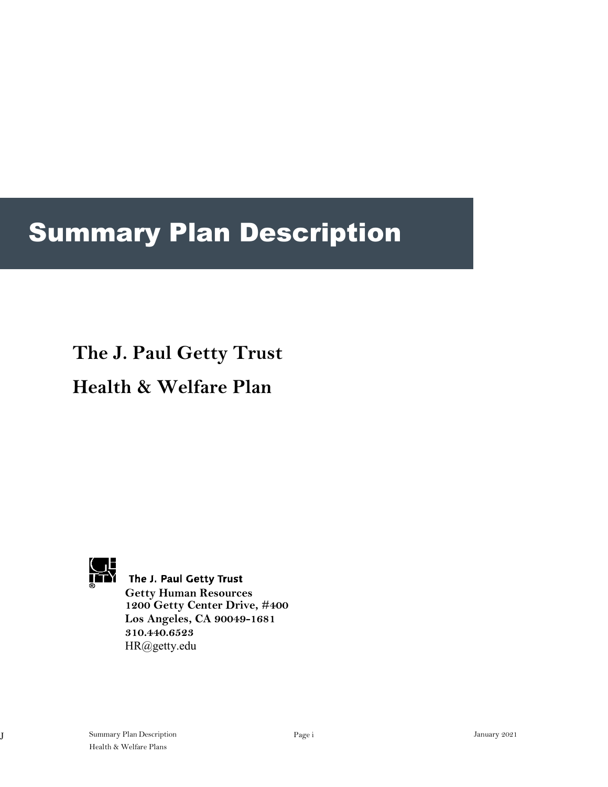# Summary Plan Description

# **The J. Paul Getty Trust**

# **Health & Welfare Plan**



**THE THE SET OF STRAP THE STAR**<br>**ALCORD THE J. Paul Getty Trust Getty Human Resources 1200 Getty Center Drive, #400 Los Angeles, CA 90049-1681 310.440.6523** [HR@getty.edu](mailto:HR@getty.edu)

Health & Welfare Plans J Summary Plan Description Page i January 2021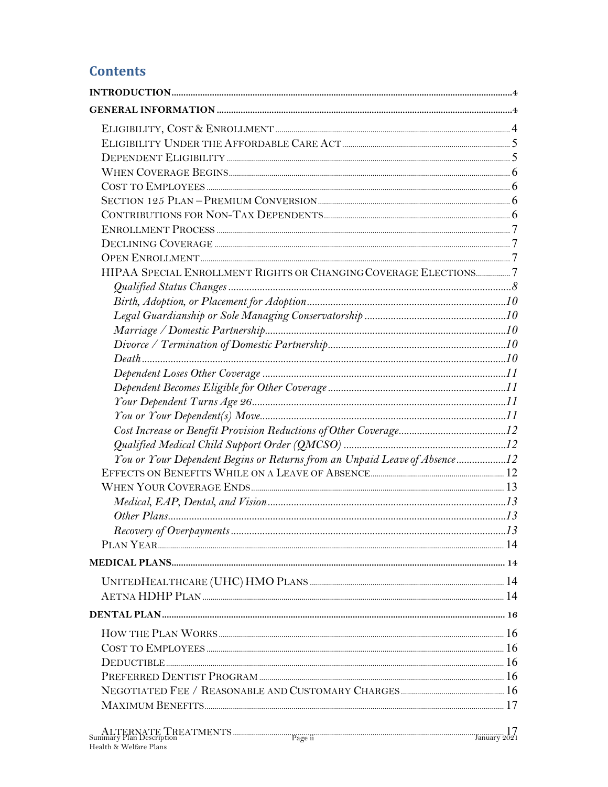### **Contents**

| HIPAA SPECIAL ENROLLMENT RIGHTS OR CHANGING COVERAGE ELECTIONS7           |  |
|---------------------------------------------------------------------------|--|
|                                                                           |  |
|                                                                           |  |
|                                                                           |  |
|                                                                           |  |
|                                                                           |  |
|                                                                           |  |
|                                                                           |  |
|                                                                           |  |
|                                                                           |  |
|                                                                           |  |
|                                                                           |  |
|                                                                           |  |
| You or Your Dependent Begins or Returns from an Unpaid Leave of Absence12 |  |
|                                                                           |  |
|                                                                           |  |
|                                                                           |  |
|                                                                           |  |
| $\emph{Recovery of Overpayments 13}$                                      |  |
|                                                                           |  |
|                                                                           |  |
|                                                                           |  |
|                                                                           |  |
|                                                                           |  |
|                                                                           |  |
|                                                                           |  |
|                                                                           |  |
|                                                                           |  |
|                                                                           |  |
|                                                                           |  |
|                                                                           |  |
|                                                                           |  |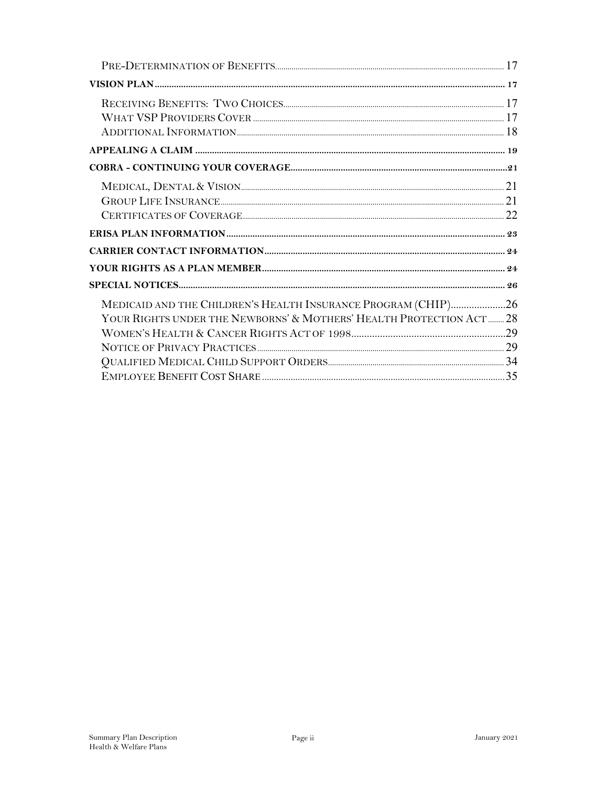| MEDICAID AND THE CHILDREN'S HEALTH INSURANCE PROGRAM (CHIP)26       |  |
|---------------------------------------------------------------------|--|
| YOUR RIGHTS UNDER THE NEWBORNS' & MOTHERS' HEALTH PROTECTION ACT 28 |  |
|                                                                     |  |
|                                                                     |  |
|                                                                     |  |
|                                                                     |  |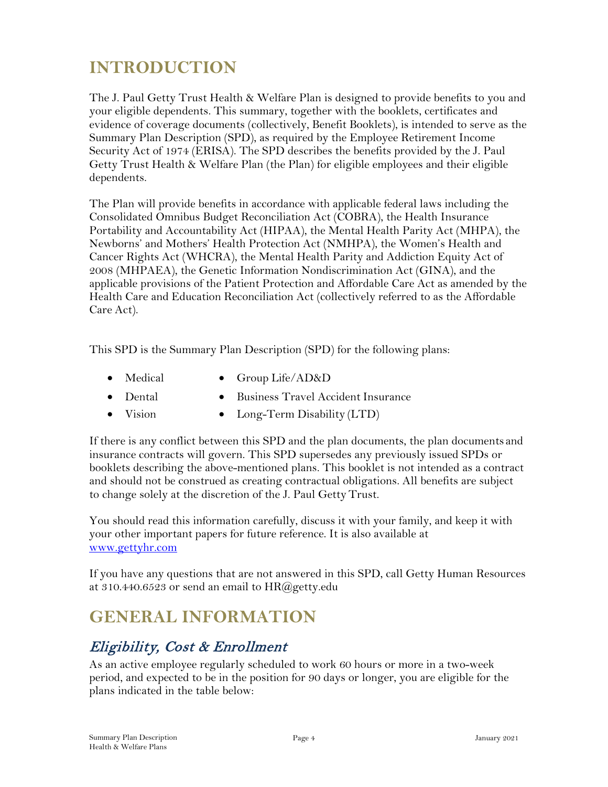# <span id="page-3-0"></span>**INTRODUCTION**

The J. Paul Getty Trust Health & Welfare Plan is designed to provide benefits to you and your eligible dependents. This summary, together with the booklets, certificates and evidence of coverage documents (collectively, Benefit Booklets), is intended to serve as the Summary Plan Description (SPD), as required by the Employee Retirement Income Security Act of 1974 (ERISA). The SPD describes the benefits provided by the J. Paul Getty Trust Health & Welfare Plan (the Plan) for eligible employees and their eligible dependents.

The Plan will provide benefits in accordance with applicable federal laws including the Consolidated Omnibus Budget Reconciliation Act (COBRA), the Health Insurance Portability and Accountability Act (HIPAA), the Mental Health Parity Act (MHPA), the Newborns' and Mothers' Health Protection Act (NMHPA), the Women's Health and Cancer Rights Act (WHCRA), the Mental Health Parity and Addiction Equity Act of 2008 (MHPAEA), the Genetic Information Nondiscrimination Act (GINA), and the applicable provisions of the Patient Protection and Affordable Care Act as amended by the Health Care and Education Reconciliation Act (collectively referred to as the Affordable Care Act).

This SPD is the Summary Plan Description (SPD) for the following plans:

- 
- Medical Group Life/AD&D
- Dental Business Travel Accident Insurance
- Vision Long-Term Disability (LTD)

If there is any conflict between this SPD and the plan documents, the plan documents and insurance contracts will govern. This SPD supersedes any previously issued SPDs or booklets describing the above-mentioned plans. This booklet is not intended as a contract and should not be construed as creating contractual obligations. All benefits are subject to change solely at the discretion of the J. Paul Getty Trust.

You should read this information carefully, discuss it with your family, and keep it with your other important papers for future reference. It is also available at [www.gettyhr.com](http://www.gettyhr.com/)

If you have any questions that are not answered in this SPD, call Getty Human Resources at 310.440.6523 or send an email to  $HR@getty.edu$ 

# <span id="page-3-1"></span>**GENERAL INFORMATION**

# <span id="page-3-2"></span>Eligibility, Cost & Enrollment

As an active employee regularly scheduled to work 60 hours or more in a two-week period, and expected to be in the position for 90 days or longer, you are eligible for the plans indicated in the table below: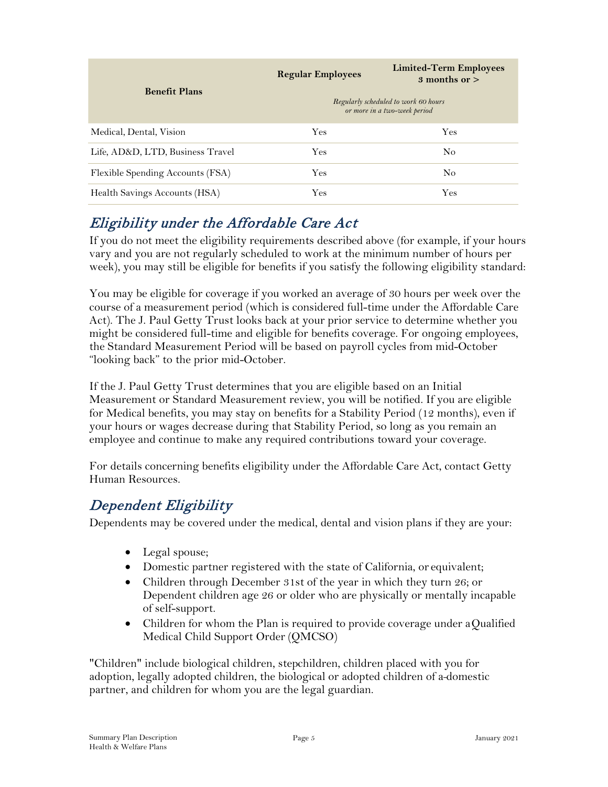| <b>Benefit Plans</b>             | <b>Regular Employees</b> | <b>Limited-Term Employees</b><br>3 months or $>$<br>Regularly scheduled to work 60 hours<br>or more in a two-week period |
|----------------------------------|--------------------------|--------------------------------------------------------------------------------------------------------------------------|
| Medical, Dental, Vision          | Yes                      | <b>Yes</b>                                                                                                               |
| Life, AD&D, LTD, Business Travel | <b>Yes</b>               | N <sub>0</sub>                                                                                                           |
| Flexible Spending Accounts (FSA) | Yes                      | No                                                                                                                       |
| Health Savings Accounts (HSA)    | Yes                      | <b>Yes</b>                                                                                                               |

# <span id="page-4-0"></span>Eligibility under the Affordable Care Act

If you do not meet the eligibility requirements described above (for example, if your hours vary and you are not regularly scheduled to work at the minimum number of hours per week), you may still be eligible for benefits if you satisfy the following eligibility standard:

You may be eligible for coverage if you worked an average of 30 hours per week over the course of a measurement period (which is considered full-time under the Affordable Care Act). The J. Paul Getty Trust looks back at your prior service to determine whether you might be considered full-time and eligible for benefits coverage. For ongoing employees, the Standard Measurement Period will be based on payroll cycles from mid-October "looking back" to the prior mid-October.

If the J. Paul Getty Trust determines that you are eligible based on an Initial Measurement or Standard Measurement review, you will be notified. If you are eligible for Medical benefits, you may stay on benefits for a Stability Period (12 months), even if your hours or wages decrease during that Stability Period, so long as you remain an employee and continue to make any required contributions toward your coverage.

For details concerning benefits eligibility under the Affordable Care Act, contact Getty Human Resources.

# <span id="page-4-1"></span>Dependent Eligibility

Dependents may be covered under the medical, dental and vision plans if they are your:

- Legal spouse;
- Domestic partner registered with the state of California, or equivalent;
- Children through December 31st of the year in which they turn 26; or Dependent children age 26 or older who are physically or mentally incapable of self-support.
- Children for whom the Plan is required to provide coverage under a Qualified Medical Child Support Order (QMCSO)

"Children" include biological children, stepchildren, children placed with you for adoption, legally adopted children, the biological or adopted children of a domestic partner, and children for whom you are the legal guardian.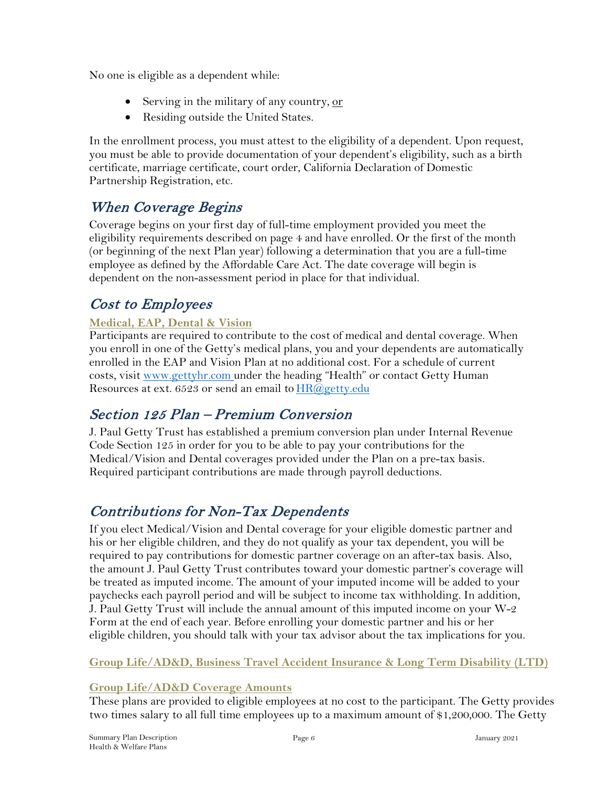No one is eligible as a dependent while:

- Serving in the military of any country, or
- Residing outside the United States.

In the enrollment process, you must attest to the eligibility of a dependent. Upon request, you must be able to provide documentation of your dependent's eligibility, such as a birth certificate, marriage certificate, court order, California Declaration of Domestic Partnership Registration, etc.

# <span id="page-5-0"></span>When Coverage Begins

Coverage begins on your first day of full-time employment provided you meet the eligibility requirements described on page 4 and have enrolled. Or the first of the month (or beginning of the next Plan year) following a determination that you are a full-time employee as defined by the Affordable Care Act. The date coverage will begin is dependent on the non-assessment period in place for that individual.

# <span id="page-5-1"></span>Cost to Employees

### **Medical, EAP, Dental & Vision**

Participants are required to contribute to the cost of medical and dental coverage. When you enroll in one of the Getty's medical plans, you and your dependents are automatically enrolled in the EAP and Vision Plan at no additional cost. For a schedule of current costs, visit [www.gettyhr.com](http://www.gettyhr.com/) under the heading "Health" or contact Getty Human Resources at ext. 6523 or send an email to  $HR@getty.edu$ 

# <span id="page-5-2"></span>Section 125 Plan – Premium Conversion

J. Paul Getty Trust has established a premium conversion plan under Internal Revenue Code Section 125 in order for you to be able to pay your contributions for the Medical/Vision and Dental coverages provided under the Plan on a pre-tax basis. Required participant contributions are made through payroll deductions.

# <span id="page-5-3"></span>Contributions for Non-Tax Dependents

If you elect Medical/Vision and Dental coverage for your eligible domestic partner and his or her eligible children, and they do not qualify as your tax dependent, you will be required to pay contributions for domestic partner coverage on an after-tax basis. Also, the amount J. Paul Getty Trust contributes toward your domestic partner's coverage will be treated as imputed income. The amount of your imputed income will be added to your paychecks each payroll period and will be subject to income tax withholding. In addition, J. Paul Getty Trust will include the annual amount of this imputed income on your W-2 Form at the end of each year. Before enrolling your domestic partner and his or her eligible children, you should talk with your tax advisor about the tax implications for you.

**Group Life/AD&D, Business Travel Accident Insurance & Long Term Disability (LTD)**

### **Group Life/AD&D Coverage Amounts**

These plans are provided to eligible employees at no cost to the participant. The Getty provides two times salary to all full time employees up to a maximum amount of \$1,200,000. The Getty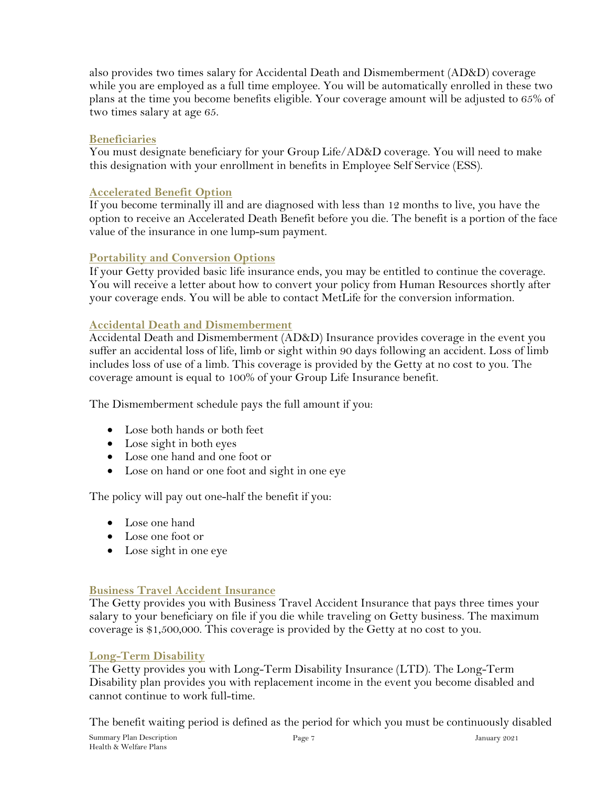also provides two times salary for Accidental Death and Dismemberment (AD&D) coverage while you are employed as a full time employee. You will be automatically enrolled in these two plans at the time you become benefits eligible. Your coverage amount will be adjusted to 65% of two times salary at age 65.

#### **Beneficiaries**

You must designate beneficiary for your Group Life/AD&D coverage. You will need to make this designation with your enrollment in benefits in Employee Self Service (ESS).

#### **Accelerated Benefit Option**

If you become terminally ill and are diagnosed with less than 12 months to live, you have the option to receive an Accelerated Death Benefit before you die. The benefit is a portion of the face value of the insurance in one lump-sum payment.

#### **Portability and Conversion Options**

If your Getty provided basic life insurance ends, you may be entitled to continue the coverage. You will receive a letter about how to convert your policy from Human Resources shortly after your coverage ends. You will be able to contact MetLife for the conversion information.

#### **Accidental Death and Dismemberment**

Accidental Death and Dismemberment (AD&D) Insurance provides coverage in the event you suffer an accidental loss of life, limb or sight within 90 days following an accident. Loss of limb includes loss of use of a limb. This coverage is provided by the Getty at no cost to you. The coverage amount is equal to 100% of your Group Life Insurance benefit.

The Dismemberment schedule pays the full amount if you:

- Lose both hands or both feet
- Lose sight in both eyes
- Lose one hand and one foot or
- Lose on hand or one foot and sight in one eye

The policy will pay out one-half the benefit if you:

- Lose one hand
- Lose one foot or
- Lose sight in one eye

#### **Business Travel Accident Insurance**

The Getty provides you with Business Travel Accident Insurance that pays three times your salary to your beneficiary on file if you die while traveling on Getty business. The maximum coverage is \$1,500,000. This coverage is provided by the Getty at no cost to you.

#### **Long-Term Disability**

The Getty provides you with Long-Term Disability Insurance (LTD). The Long-Term Disability plan provides you with replacement income in the event you become disabled and cannot continue to work full-time.

The benefit waiting period is defined as the period for which you must be continuously disabled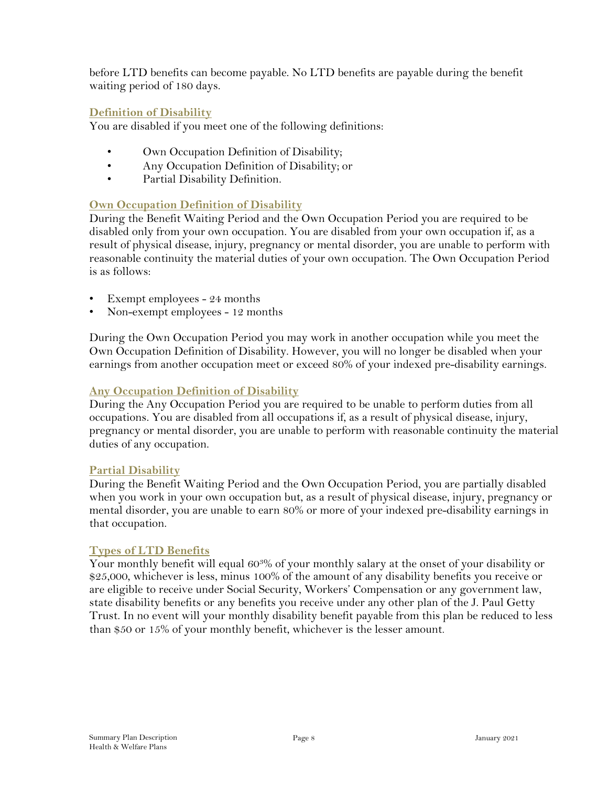before LTD benefits can become payable. No LTD benefits are payable during the benefit waiting period of 180 days.

#### **Definition of Disability**

You are disabled if you meet one of the following definitions:

- Own Occupation Definition of Disability;
- Any Occupation Definition of Disability; or
- Partial Disability Definition.

#### **Own Occupation Definition of Disability**

During the Benefit Waiting Period and the Own Occupation Period you are required to be disabled only from your own occupation. You are disabled from your own occupation if, as a result of physical disease, injury, pregnancy or mental disorder, you are unable to perform with reasonable continuity the material duties of your own occupation. The Own Occupation Period is as follows:

- Exempt employees 24 months
- Non-exempt employees 12 months

During the Own Occupation Period you may work in another occupation while you meet the Own Occupation Definition of Disability. However, you will no longer be disabled when your earnings from another occupation meet or exceed 80% of your indexed pre-disability earnings.

#### **Any Occupation Definition of Disability**

During the Any Occupation Period you are required to be unable to perform duties from all occupations. You are disabled from all occupations if, as a result of physical disease, injury, pregnancy or mental disorder, you are unable to perform with reasonable continuity the material duties of any occupation.

#### **Partial Disability**

During the Benefit Waiting Period and the Own Occupation Period, you are partially disabled when you work in your own occupation but, as a result of physical disease, injury, pregnancy or mental disorder, you are unable to earn 80% or more of your indexed pre-disability earnings in that occupation.

#### **Types of LTD Benefits**

Your monthly benefit will equal 603% of your monthly salary at the onset of your disability or \$25,000, whichever is less, minus 100% of the amount of any disability benefits you receive or are eligible to receive under Social Security, Workers' Compensation or any government law, state disability benefits or any benefits you receive under any other plan of the J. Paul Getty Trust. In no event will your monthly disability benefit payable from this plan be reduced to less than \$50 or 15% of your monthly benefit, whichever is the lesser amount.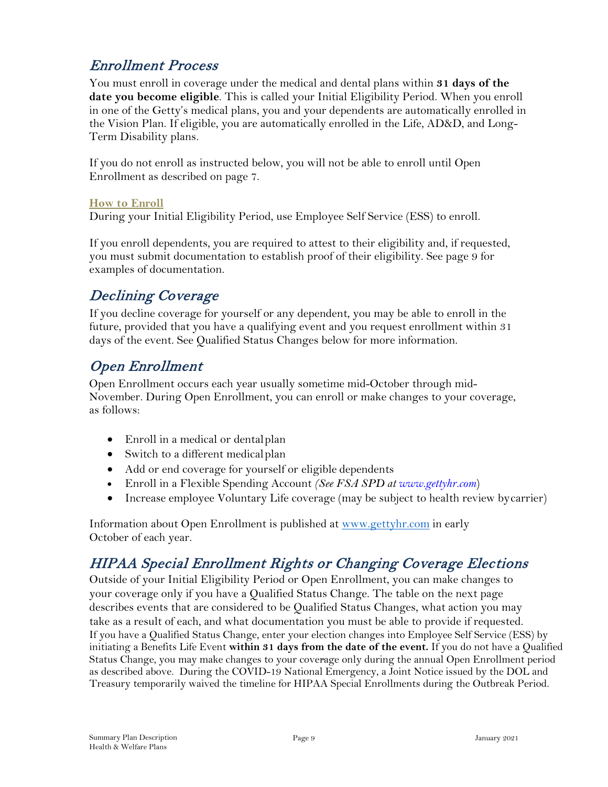# <span id="page-8-0"></span>Enrollment Process

You must enroll in coverage under the medical and dental plans within **31 days of the date you become eligible**. This is called your Initial Eligibility Period. When you enroll in one of the Getty's medical plans, you and your dependents are automatically enrolled in the Vision Plan. If eligible, you are automatically enrolled in the Life, AD&D, and Long-Term Disability plans.

If you do not enroll as instructed below, you will not be able to enroll until Open Enrollment as described on page 7.

#### **How to Enroll**

During your Initial Eligibility Period, use Employee Self Service (ESS) to enroll.

If you enroll dependents, you are required to attest to their eligibility and, if requested, you must submit documentation to establish proof of their eligibility. See page 9 for examples of documentation.

# <span id="page-8-1"></span>Declining Coverage

If you decline coverage for yourself or any dependent, you may be able to enroll in the future, provided that you have a qualifying event and you request enrollment within 31 days of the event. See Qualified Status Changes below for more information.

### <span id="page-8-2"></span>Open Enrollment

Open Enrollment occurs each year usually sometime mid-October through mid-November. During Open Enrollment, you can enroll or make changes to your coverage, as follows:

- Enroll in a medical or dental plan
- Switch to a different medical plan
- Add or end coverage for yourself or eligible dependents
- Enroll in a Flexible Spending Account *(See FSA SPD at www.gettyhr.com*)
- Increase employee Voluntary Life coverage (may be subject to health review bycarrier)

Information about Open Enrollment is published at [www.gettyhr.com](http://www.gettyhr.com/) in early October of each year.

# <span id="page-8-3"></span>HIPAA Special Enrollment Rights or Changing Coverage Elections

Outside of your Initial Eligibility Period or Open Enrollment, you can make changes to your coverage only if you have a Qualified Status Change. The table on the next page describes events that are considered to be Qualified Status Changes, what action you may take as a result of each, and what documentation you must be able to provide if requested. If you have a Qualified Status Change, enter your election changes into Employee Self Service (ESS) by initiating a Benefits Life Event **within 31 days from the date of the event.** If you do not have a Qualified Status Change, you may make changes to your coverage only during the annual Open Enrollment period as described above. During the COVID-19 National Emergency, a Joint Notice issued by the DOL and Treasury temporarily waived the timeline for HIPAA Special Enrollments during the Outbreak Period.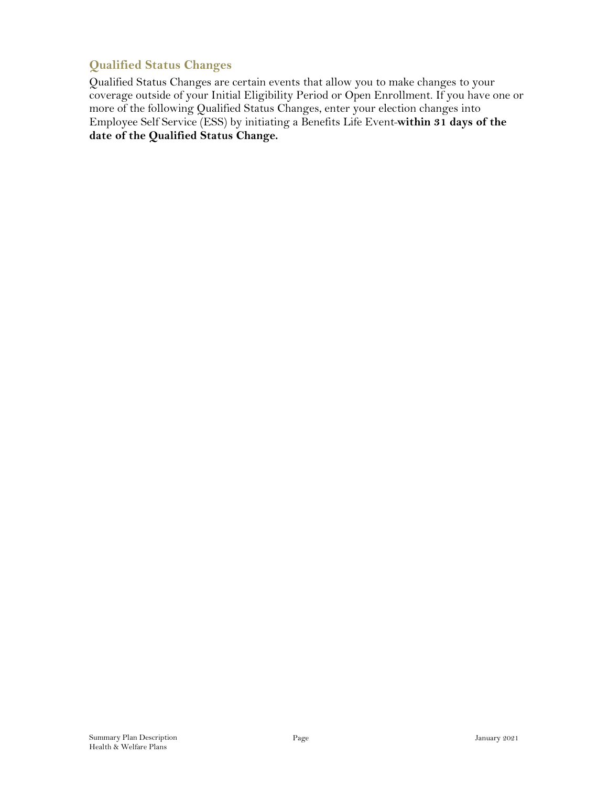### <span id="page-9-0"></span>**Qualified Status Changes**

Qualified Status Changes are certain events that allow you to make changes to your coverage outside of your Initial Eligibility Period or Open Enrollment. If you have one or more of the following Qualified Status Changes, enter your election changes into Employee Self Service (ESS) by initiating a Benefits Life Event **within 31 days of the date of the Qualified Status Change.**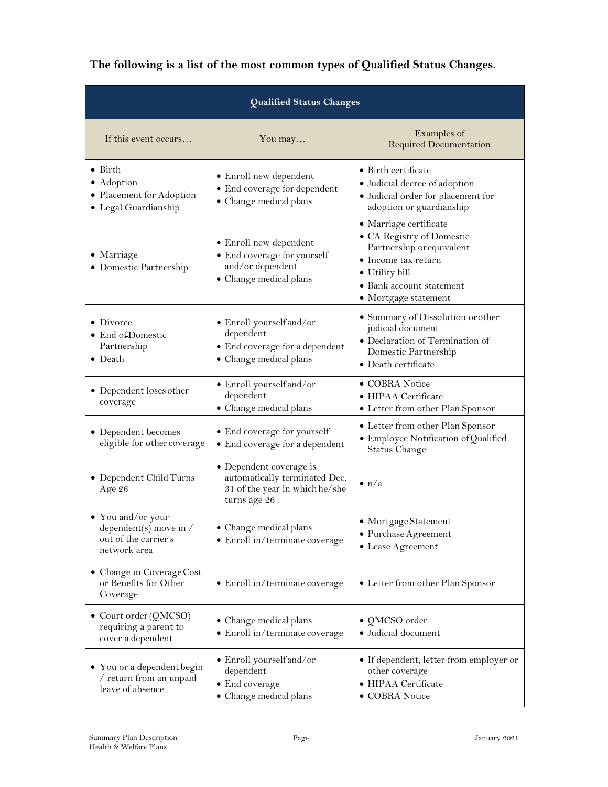| The following is a list of the most common types of Qualified Status Changes. |  |  |  |
|-------------------------------------------------------------------------------|--|--|--|
|-------------------------------------------------------------------------------|--|--|--|

| Qualified Status Changes                                                                   |                                                                                                            |                                                                                                                                                                               |
|--------------------------------------------------------------------------------------------|------------------------------------------------------------------------------------------------------------|-------------------------------------------------------------------------------------------------------------------------------------------------------------------------------|
| If this event occurs                                                                       | You may                                                                                                    | Examples of<br><b>Required Documentation</b>                                                                                                                                  |
| $\bullet$ Birth<br>• Adoption<br>• Placement for Adoption<br>• Legal Guardianship          | • Enroll new dependent<br>• End coverage for dependent<br>• Change medical plans                           | • Birth certificate<br>· Judicial decree of adoption<br>· Judicial order for placement for<br>adoption or guardianship                                                        |
| • Marriage<br>• Domestic Partnership                                                       | • Enroll new dependent<br>• End coverage for yourself<br>and/or dependent<br>• Change medical plans        | • Marriage certificate<br>• CA Registry of Domestic<br>Partnership or equivalent<br>• Income tax return<br>• Utility bill<br>• Bank account statement<br>• Mortgage statement |
| $\bullet$ Divorce<br>• End of Domestic<br>Partnership<br>$\bullet$ Death                   | · Enroll yourself and/or<br>dependent<br>• End coverage for a dependent<br>• Change medical plans          | • Summary of Dissolution or other<br>judicial document<br>· Declaration of Termination of<br>Domestic Partnership<br>· Death certificate                                      |
| • Dependent loses other<br>coverage                                                        | • Enroll yourself and/or<br>dependent<br>• Change medical plans                                            | • COBRA Notice<br>• HIPAA Certificate<br>• Letter from other Plan Sponsor                                                                                                     |
| • Dependent becomes<br>eligible for other coverage                                         | • End coverage for yourself<br>• End coverage for a dependent                                              | • Letter from other Plan Sponsor<br>· Employee Notification of Qualified<br><b>Status Change</b>                                                                              |
| • Dependent Child Turns<br>Age 26                                                          | • Dependent coverage is<br>automatically terminated Dec.<br>31 of the year in which he/she<br>turns age 26 | $\bullet$ n/a                                                                                                                                                                 |
| • You and/or your<br>dependent(s) move in $\prime$<br>out of the carrier's<br>network area | • Change medical plans<br>• Enroll in/terminate coverage                                                   | • Mortgage Statement<br>• Purchase Agreement<br>• Lease Agreement                                                                                                             |
| • Change in Coverage Cost<br>or Benefits for Other<br>Coverage                             | • Enroll in/terminate coverage                                                                             | • Letter from other Plan Sponsor                                                                                                                                              |
| • Court order $(QMCSO)$<br>requiring a parent to<br>cover a dependent                      | • Change medical plans<br>• Enroll in/terminate coverage                                                   | • QMCSO order<br>· Judicial document                                                                                                                                          |
| • You or a dependent begin<br>/ return from an unpaid<br>leave of absence                  | • Enroll yourself and/or<br>dependent<br>• End coverage<br>• Change medical plans                          | • If dependent, letter from employer or<br>other coverage<br>· HIPAA Certificate<br>· COBRA Notice                                                                            |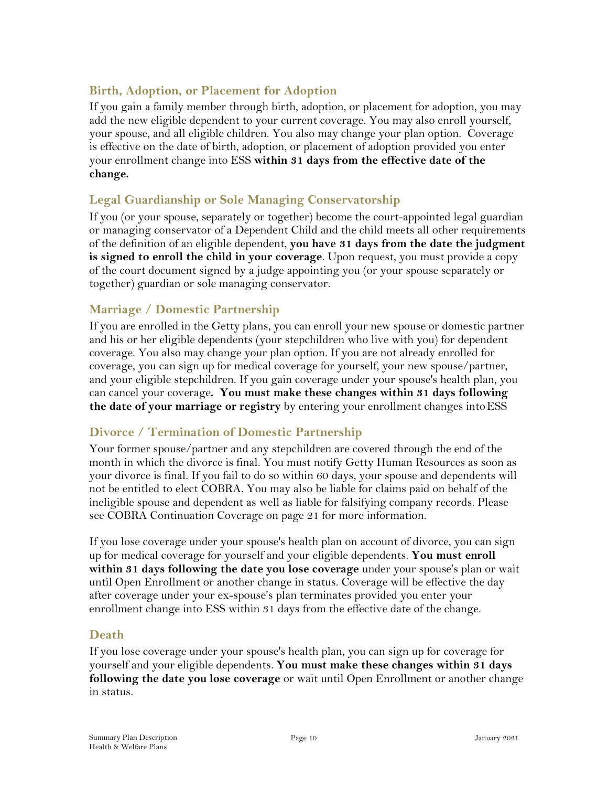### <span id="page-11-0"></span>**Birth, Adoption, or Placement for Adoption**

If you gain a family member through birth, adoption, or placement for adoption, you may add the new eligible dependent to your current coverage. You may also enroll yourself, your spouse, and all eligible children. You also may change your plan option. Coverage is effective on the date of birth, adoption, or placement of adoption provided you enter your enrollment change into ESS **within 31 days from the effective date of the change.**

### <span id="page-11-1"></span>**Legal Guardianship or Sole Managing Conservatorship**

If you (or your spouse, separately or together) become the court-appointed legal guardian or managing conservator of a Dependent Child and the child meets all other requirements of the definition of an eligible dependent, **you have 31 days from the date the judgment is signed to enroll the child in your coverage**. Upon request, you must provide a copy of the court document signed by a judge appointing you (or your spouse separately or together) guardian or sole managing conservator.

### <span id="page-11-2"></span>**Marriage / Domestic Partnership**

If you are enrolled in the Getty plans, you can enroll your new spouse or domestic partner and his or her eligible dependents (your stepchildren who live with you) for dependent coverage. You also may change your plan option. If you are not already enrolled for coverage, you can sign up for medical coverage for yourself, your new spouse/partner, and your eligible stepchildren. If you gain coverage under your spouse's health plan, you can cancel your coverage**. You must make these changes within 31 days following the date of your marriage or registry** by entering your enrollment changes intoESS

### <span id="page-11-3"></span>**Divorce / Termination of Domestic Partnership**

Your former spouse/partner and any stepchildren are covered through the end of the month in which the divorce is final. You must notify Getty Human Resources as soon as your divorce is final. If you fail to do so within 60 days, your spouse and dependents will not be entitled to elect COBRA. You may also be liable for claims paid on behalf of the ineligible spouse and dependent as well as liable for falsifying company records. Please see COBRA Continuation Coverage on page 21 for more information.

If you lose coverage under your spouse's health plan on account of divorce, you can sign up for medical coverage for yourself and your eligible dependents. **You must enroll within 31 days following the date you lose coverage** under your spouse's plan or wait until Open Enrollment or another change in status. Coverage will be effective the day after coverage under your ex-spouse's plan terminates provided you enter your enrollment change into ESS within 31 days from the effective date of the change.

### <span id="page-11-4"></span>**Death**

If you lose coverage under your spouse's health plan, you can sign up for coverage for yourself and your eligible dependents. **You must make these changes within 31 days following the date you lose coverage** or wait until Open Enrollment or another change in status.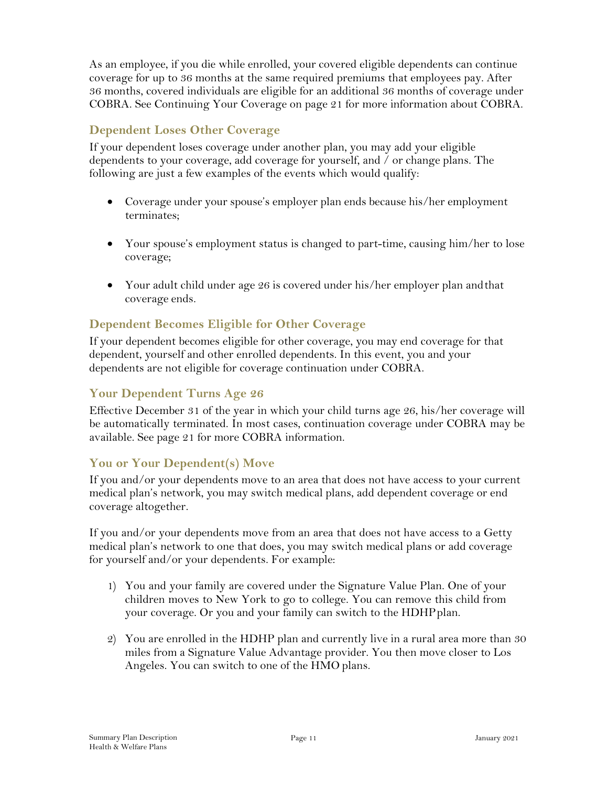As an employee, if you die while enrolled, your covered eligible dependents can continue coverage for up to 36 months at the same required premiums that employees pay. After 36 months, covered individuals are eligible for an additional 36 months of coverage under COBRA. See Continuing Your Coverage on page 21 for more information about COBRA.

### <span id="page-12-0"></span>**Dependent Loses Other Coverage**

If your dependent loses coverage under another plan, you may add your eligible dependents to your coverage, add coverage for yourself, and / or change plans. The following are just a few examples of the events which would qualify:

- Coverage under your spouse's employer plan ends because his/her employment terminates;
- Your spouse's employment status is changed to part-time, causing him/her to lose coverage;
- Your adult child under age 26 is covered under his/her employer plan and that coverage ends.

### <span id="page-12-1"></span>**Dependent Becomes Eligible for Other Coverage**

If your dependent becomes eligible for other coverage, you may end coverage for that dependent, yourself and other enrolled dependents. In this event, you and your dependents are not eligible for coverage continuation under COBRA.

#### <span id="page-12-2"></span>**Your Dependent Turns Age 26**

Effective December 31 of the year in which your child turns age 26, his/her coverage will be automatically terminated. In most cases, continuation coverage under COBRA may be available. See page 21 for more COBRA information.

### <span id="page-12-3"></span>**You or Your Dependent(s) Move**

If you and/or your dependents move to an area that does not have access to your current medical plan's network, you may switch medical plans, add dependent coverage or end coverage altogether.

If you and/or your dependents move from an area that does not have access to a Getty medical plan's network to one that does, you may switch medical plans or add coverage for yourself and/or your dependents. For example:

- 1) You and your family are covered under the Signature Value Plan. One of your children moves to New York to go to college. You can remove this child from your coverage. Or you and your family can switch to the HDHPplan.
- 2) You are enrolled in the HDHP plan and currently live in a rural area more than 30 miles from a Signature Value Advantage provider. You then move closer to Los Angeles. You can switch to one of the HMO plans.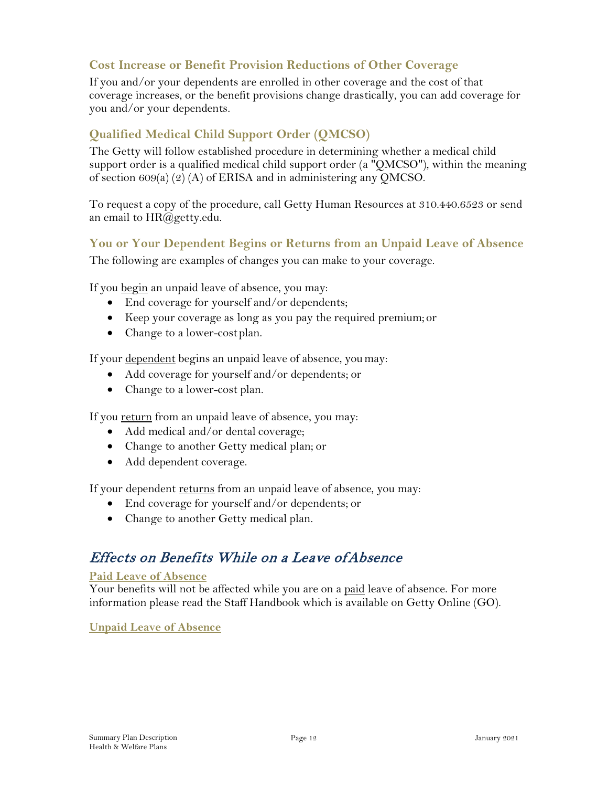### <span id="page-13-0"></span>**Cost Increase or Benefit Provision Reductions of Other Coverage**

If you and/or your dependents are enrolled in other coverage and the cost of that coverage increases, or the benefit provisions change drastically, you can add coverage for you and/or your dependents.

### <span id="page-13-1"></span>**Qualified Medical Child Support Order (QMCSO)**

The Getty will follow established procedure in determining whether a medical child support order is a qualified medical child support order (a "QMCSO"), within the meaning of section 609(a) (2) (A) of ERISA and in administering any QMCSO.

To request a copy of the procedure, call Getty Human Resources at 310.440.6523 or send an email to [HR@getty.edu.](mailto:HR@getty.edu)

#### <span id="page-13-2"></span>**You or Your Dependent Begins or Returns from an Unpaid Leave of Absence**

The following are examples of changes you can make to your coverage.

If you <u>begin</u> an unpaid leave of absence, you may:

- End coverage for yourself and/or dependents;
- Keep your coverage as long as you pay the required premium; or
- Change to a lower-cost plan.

If your dependent begins an unpaid leave of absence, youmay:

- Add coverage for yourself and/or dependents; or
- Change to a lower-cost plan.

If you <u>return</u> from an unpaid leave of absence, you may:

- Add medical and/or dental coverage;
- Change to another Getty medical plan; or
- Add dependent coverage.

If your dependent <u>returns</u> from an unpaid leave of absence, you may:

- End coverage for yourself and/or dependents; or
- Change to another Getty medical plan.

# <span id="page-13-3"></span>Effects on Benefits While on a Leave of Absence

#### **Paid Leave of Absence**

Your benefits will not be affected while you are on a paid leave of absence. For more information please read the Staff Handbook which is available on Getty Online (GO).

#### **Unpaid Leave of Absence**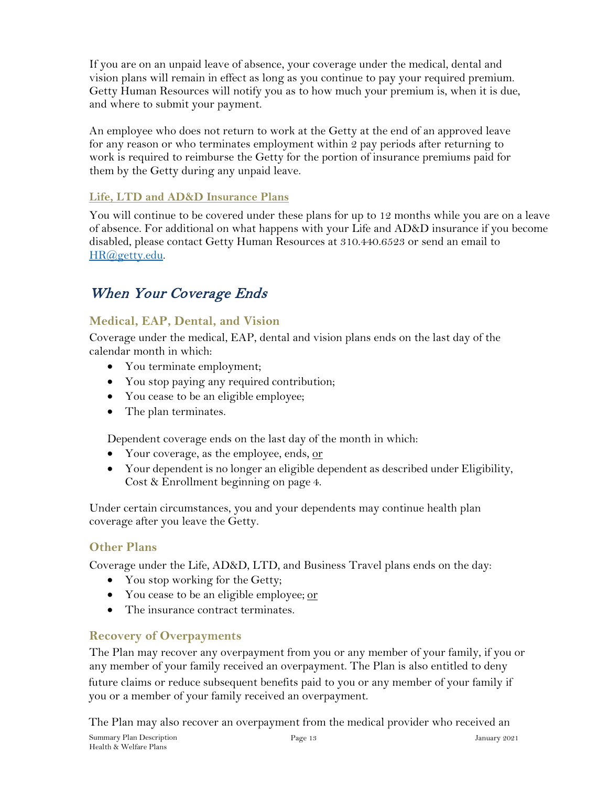If you are on an unpaid leave of absence, your coverage under the medical, dental and vision plans will remain in effect as long as you continue to pay your required premium. Getty Human Resources will notify you as to how much your premium is, when it is due, and where to submit your payment.

An employee who does not return to work at the Getty at the end of an approved leave for any reason or who terminates employment within 2 pay periods after returning to work is required to reimburse the Getty for the portion of insurance premiums paid for them by the Getty during any unpaid leave.

### **Life, LTD and AD&D Insurance Plans**

You will continue to be covered under these plans for up to 12 months while you are on a leave of absence. For additional on what happens with your Life and AD&D insurance if you become disabled, please contact Getty Human Resources at 310.440.6523 or send an email to [HR@getty.edu.](mailto:HR@getty.edu) 

# When Your Coverage Ends

### <span id="page-14-0"></span>**Medical, EAP, Dental, and Vision**

Coverage under the medical, EAP, dental and vision plans ends on the last day of the calendar month in which:

- You terminate employment;
- You stop paying any required contribution;
- You cease to be an eligible employee;
- The plan terminates.

Dependent coverage ends on the last day of the month in which:

- Your coverage, as the employee, ends, or
- Your dependent is no longer an eligible dependent as described under Eligibility, Cost & Enrollment beginning on page 4.

Under certain circumstances, you and your dependents may continue health plan coverage after you leave the Getty.

### <span id="page-14-1"></span>**Other Plans**

Coverage under the Life, AD&D, LTD, and Business Travel plans ends on the day:

- You stop working for the Getty;
- You cease to be an eligible employee; or
- The insurance contract terminates

### <span id="page-14-2"></span>**Recovery of Overpayments**

The Plan may recover any overpayment from you or any member of your family, if you or any member of your family received an overpayment. The Plan is also entitled to deny

future claims or reduce subsequent benefits paid to you or any member of your family if you or a member of your family received an overpayment.

The Plan may also recover an overpayment from the medical provider who received an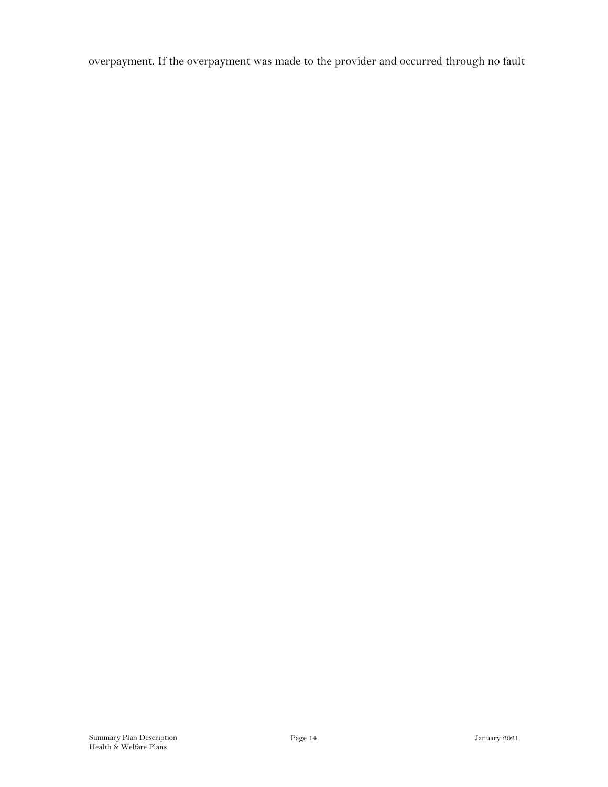overpayment. If the overpayment was made to the provider and occurred through no fault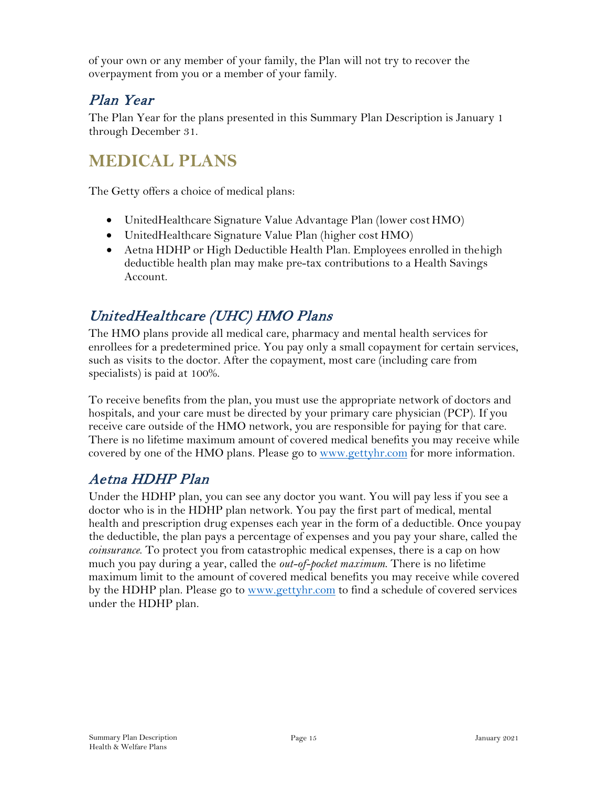of your own or any member of your family, the Plan will not try to recover the overpayment from you or a member of your family.

# <span id="page-16-0"></span>Plan Year

The Plan Year for the plans presented in this Summary Plan Description is January 1 through December 31.

# <span id="page-16-1"></span>**MEDICAL PLANS**

The Getty offers a choice of medical plans:

- UnitedHealthcare Signature Value Advantage Plan (lower cost HMO)
- UnitedHealthcare Signature Value Plan (higher cost HMO)
- Aetna HDHP or High Deductible Health Plan. Employees enrolled in the high deductible health plan may make pre-tax contributions to a Health Savings Account.

# <span id="page-16-2"></span>UnitedHealthcare (UHC) HMO Plans

The HMO plans provide all medical care, pharmacy and mental health services for enrollees for a predetermined price. You pay only a small copayment for certain services, such as visits to the doctor. After the copayment, most care (including care from specialists) is paid at 100%.

To receive benefits from the plan, you must use the appropriate network of doctors and hospitals, and your care must be directed by your primary care physician (PCP). If you receive care outside of the HMO network, you are responsible for paying for that care. There is no lifetime maximum amount of covered medical benefits you may receive while covered by one of the HMO plans. Please go to [www.gettyhr.com](http://www.gettyhr.com/) for more information.

# <span id="page-16-3"></span>Aetna HDHP Plan

Under the HDHP plan, you can see any doctor you want. You will pay less if you see a doctor who is in the HDHP plan network. You pay the first part of medical, mental health and prescription drug expenses each year in the form of a deductible. Once youpay the deductible, the plan pays a percentage of expenses and you pay your share, called the *coinsurance*. To protect you from catastrophic medical expenses, there is a cap on how much you pay during a year, called the *out-of-pocket maximum*. There is no lifetime maximum limit to the amount of covered medical benefits you may receive while covered by the HDHP plan. Please go to [www.gettyhr.com](http://www.gettyhr.com/) to find a schedule of covered services under the HDHP plan.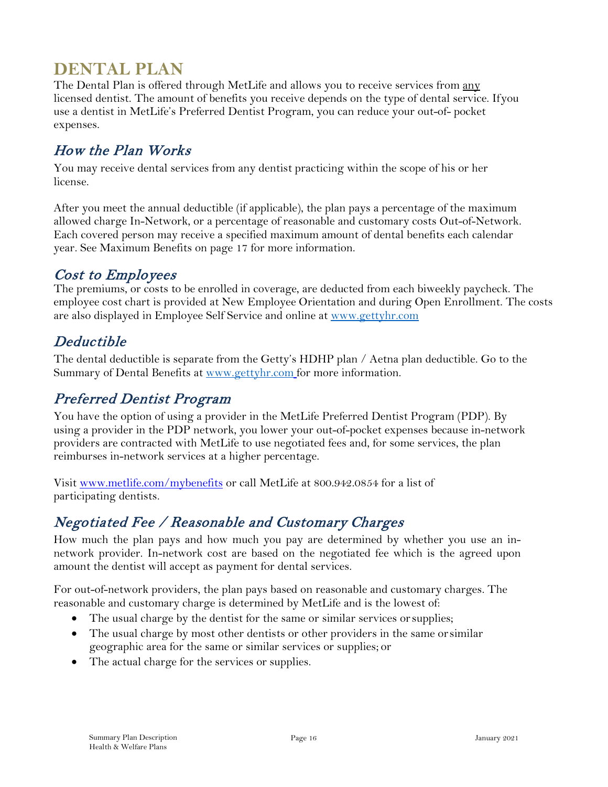# <span id="page-17-0"></span>**DENTAL PLAN**

The Dental Plan is offered through MetLife and allows you to receive services from any licensed dentist. The amount of benefits you receive depends on the type of dental service. Ifyou use a dentist in MetLife's Preferred Dentist Program, you can reduce your out-of- pocket expenses.

# <span id="page-17-1"></span>How the Plan Works

You may receive dental services from any dentist practicing within the scope of his or her license.

After you meet the annual deductible (if applicable), the plan pays a percentage of the maximum allowed charge In-Network, or a percentage of reasonable and customary costs Out-of-Network. Each covered person may receive a specified maximum amount of dental benefits each calendar year. See Maximum Benefits on page 17 for more information.

# <span id="page-17-2"></span>Cost to Employees

The premiums, or costs to be enrolled in coverage, are deducted from each biweekly paycheck. The employee cost chart is provided at New Employee Orientation and during Open Enrollment. The costs are also displayed in Employee Self Service and online at [www.gettyhr.com](http://www.gettyhr.com/)

# <span id="page-17-3"></span>Deductible

The dental deductible is separate from the Getty's HDHP plan / Aetna plan deductible. Go to the Summary of Dental Benefits at [www.gettyhr.com](http://www.gettyhr.com/) for more information.

# <span id="page-17-4"></span>Preferred Dentist Program

You have the option of using a provider in the MetLife Preferred Dentist Program (PDP). By using a provider in the PDP network, you lower your out-of-pocket expenses because in-network providers are contracted with MetLife to use negotiated fees and, for some services, the plan reimburses in-network services at a higher percentage.

Visit [www.metlife.com/mybenefits](http://www.metlife.com/mybenefits) or call MetLife at 800.942.0854 for a list of participating dentists.

# <span id="page-17-5"></span>Negotiated Fee / Reasonable and Customary Charges

How much the plan pays and how much you pay are determined by whether you use an innetwork provider. In-network cost are based on the negotiated fee which is the agreed upon amount the dentist will accept as payment for dental services.

For out-of-network providers, the plan pays based on reasonable and customary charges. The reasonable and customary charge is determined by MetLife and is the lowest of:

- The usual charge by the dentist for the same or similar services orsupplies;
- The usual charge by most other dentists or other providers in the same orsimilar geographic area for the same or similar services or supplies; or
- The actual charge for the services or supplies.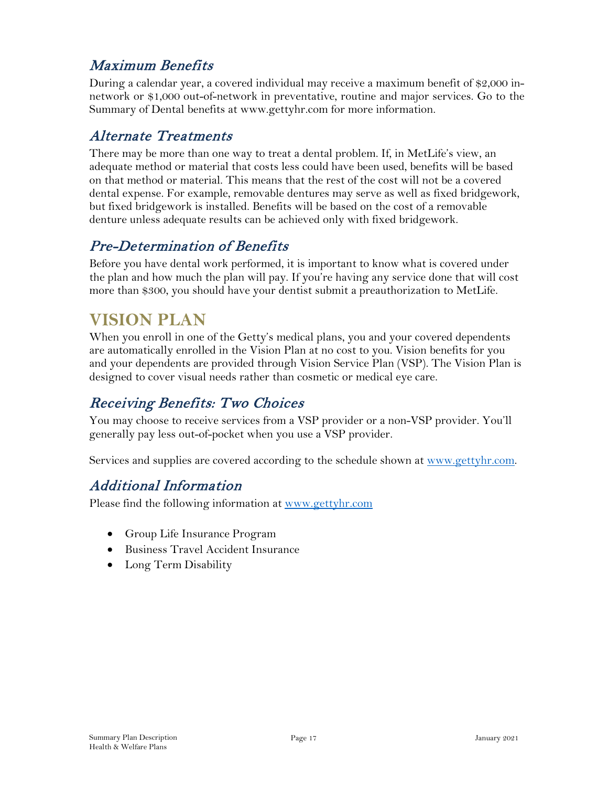# <span id="page-18-0"></span>Maximum Benefits

During a calendar year, a covered individual may receive a maximum benefit of \$2,000 innetwork or \$1,000 out-of-network in preventative, routine and major services. Go to the Summary of Dental benefits [at www.gettyhr.com f](http://www.gettyhr.com/)or more information.

# <span id="page-18-1"></span>Alternate Treatments

There may be more than one way to treat a dental problem. If, in MetLife's view, an adequate method or material that costs less could have been used, benefits will be based on that method or material. This means that the rest of the cost will not be a covered dental expense. For example, removable dentures may serve as well as fixed bridgework, but fixed bridgework is installed. Benefits will be based on the cost of a removable denture unless adequate results can be achieved only with fixed bridgework.

# <span id="page-18-2"></span>Pre-Determination of Benefits

Before you have dental work performed, it is important to know what is covered under the plan and how much the plan will pay. If you're having any service done that will cost more than \$300, you should have your dentist submit a preauthorization to MetLife.

# <span id="page-18-3"></span>**VISION PLAN**

When you enroll in one of the Getty's medical plans, you and your covered dependents are automatically enrolled in the Vision Plan at no cost to you. Vision benefits for you and your dependents are provided through Vision Service Plan (VSP). The Vision Plan is designed to cover visual needs rather than cosmetic or medical eye care.

# <span id="page-18-4"></span>Receiving Benefits: Two Choices

You may choose to receive services from a VSP provider or a non-VSP provider. You'll generally pay less out-of-pocket when you use a VSP provider.

<span id="page-18-5"></span>Services and supplies are covered according to the schedule shown at [www.gettyhr.com.](http://www.gettyhr.com/)

# Additional Information

Please find the following information at [www.gettyhr.com](http://www.gettyhr.com/)

- Group Life Insurance Program
- Business Travel Accident Insurance
- Long Term Disability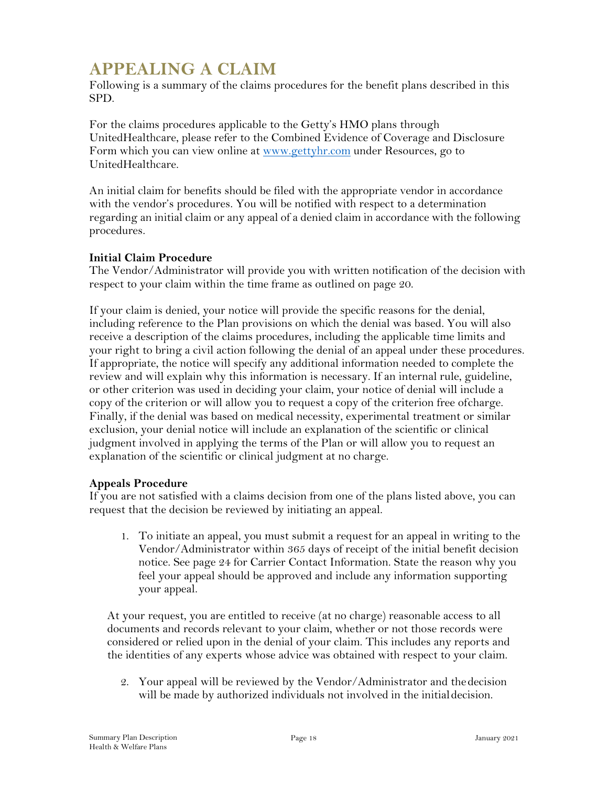# <span id="page-19-0"></span>**APPEALING A CLAIM**

Following is a summary of the claims procedures for the benefit plans described in this SPD.

For the claims procedures applicable to the Getty's HMO plans through UnitedHealthcare, please refer to the Combined Evidence of Coverage and Disclosure Form which you can view online at <u>www.gettyhr.com</u> under Resources, go to UnitedHealthcare.

An initial claim for benefits should be filed with the appropriate vendor in accordance with the vendor's procedures. You will be notified with respect to a determination regarding an initial claim or any appeal of a denied claim in accordance with the following procedures.

#### **Initial Claim Procedure**

The Vendor/Administrator will provide you with written notification of the decision with respect to your claim within the time frame as outlined on page 20.

If your claim is denied, your notice will provide the specific reasons for the denial, including reference to the Plan provisions on which the denial was based. You will also receive a description of the claims procedures, including the applicable time limits and your right to bring a civil action following the denial of an appeal under these procedures. If appropriate, the notice will specify any additional information needed to complete the review and will explain why this information is necessary. If an internal rule, guideline, or other criterion was used in deciding your claim, your notice of denial will include a copy of the criterion or will allow you to request a copy of the criterion free ofcharge. Finally, if the denial was based on medical necessity, experimental treatment or similar exclusion, your denial notice will include an explanation of the scientific or clinical judgment involved in applying the terms of the Plan or will allow you to request an explanation of the scientific or clinical judgment at no charge.

#### **Appeals Procedure**

If you are not satisfied with a claims decision from one of the plans listed above, you can request that the decision be reviewed by initiating an appeal.

1. To initiate an appeal, you must submit a request for an appeal in writing to the Vendor/Administrator within 365 days of receipt of the initial benefit decision notice. See page 24 for Carrier Contact Information. State the reason why you feel your appeal should be approved and include any information supporting your appeal.

At your request, you are entitled to receive (at no charge) reasonable access to all documents and records relevant to your claim, whether or not those records were considered or relied upon in the denial of your claim. This includes any reports and the identities of any experts whose advice was obtained with respect to your claim.

2. Your appeal will be reviewed by the Vendor/Administrator and thedecision will be made by authorized individuals not involved in the initial decision.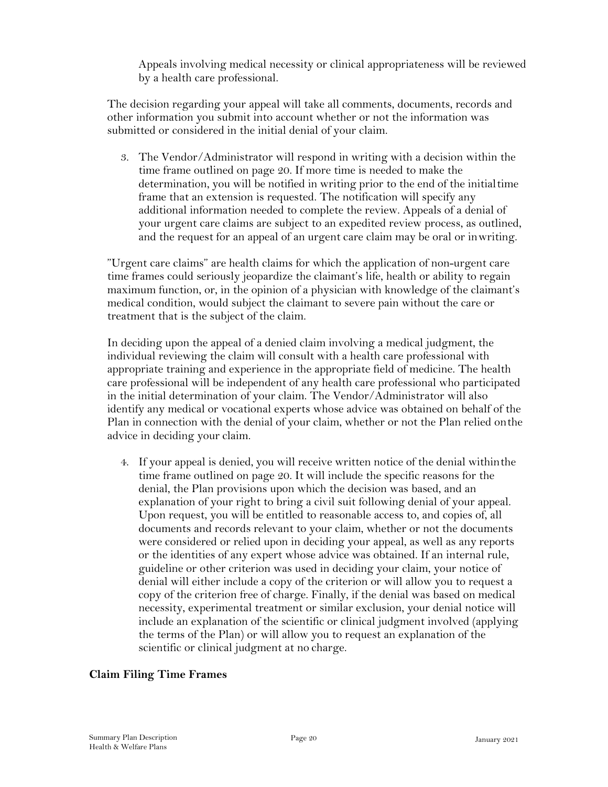Appeals involving medical necessity or clinical appropriateness will be reviewed by a health care professional.

The decision regarding your appeal will take all comments, documents, records and other information you submit into account whether or not the information was submitted or considered in the initial denial of your claim.

3. The Vendor/Administrator will respond in writing with a decision within the time frame outlined on page 20. If more time is needed to make the determination, you will be notified in writing prior to the end of the initialtime frame that an extension is requested. The notification will specify any additional information needed to complete the review. Appeals of a denial of your urgent care claims are subject to an expedited review process, as outlined, and the request for an appeal of an urgent care claim may be oral or inwriting.

"Urgent care claims" are health claims for which the application of non-urgent care time frames could seriously jeopardize the claimant's life, health or ability to regain maximum function, or, in the opinion of a physician with knowledge of the claimant's medical condition, would subject the claimant to severe pain without the care or treatment that is the subject of the claim.

In deciding upon the appeal of a denied claim involving a medical judgment, the individual reviewing the claim will consult with a health care professional with appropriate training and experience in the appropriate field of medicine. The health care professional will be independent of any health care professional who participated in the initial determination of your claim. The Vendor/Administrator will also identify any medical or vocational experts whose advice was obtained on behalf of the Plan in connection with the denial of your claim, whether or not the Plan relied onthe advice in deciding your claim.

4. If your appeal is denied, you will receive written notice of the denial withinthe time frame outlined on page 20. It will include the specific reasons for the denial, the Plan provisions upon which the decision was based, and an explanation of your right to bring a civil suit following denial of your appeal. Upon request, you will be entitled to reasonable access to, and copies of, all documents and records relevant to your claim, whether or not the documents were considered or relied upon in deciding your appeal, as well as any reports or the identities of any expert whose advice was obtained. If an internal rule, guideline or other criterion was used in deciding your claim, your notice of denial will either include a copy of the criterion or will allow you to request a copy of the criterion free of charge. Finally, if the denial was based on medical necessity, experimental treatment or similar exclusion, your denial notice will include an explanation of the scientific or clinical judgment involved (applying the terms of the Plan) or will allow you to request an explanation of the scientific or clinical judgment at no charge.

#### **Claim Filing Time Frames**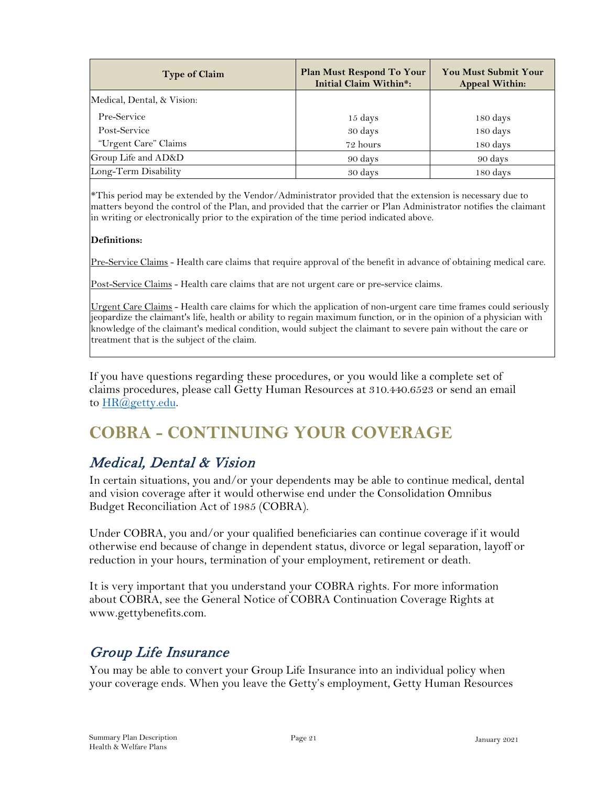| <b>Type of Claim</b>       | Plan Must Respond To Your<br>Initial Claim Within*: | <b>You Must Submit Your</b><br><b>Appeal Within:</b> |
|----------------------------|-----------------------------------------------------|------------------------------------------------------|
| Medical, Dental, & Vision: |                                                     |                                                      |
| Pre-Service                | 15 days                                             | 180 days                                             |
| Post-Service               | 30 days                                             | 180 days                                             |
| "Urgent Care" Claims       | 72 hours                                            | 180 days                                             |
| Group Life and AD&D        | 90 days                                             | 90 days                                              |
| Long-Term Disability       | 30 days                                             | 180 days                                             |

\*This period may be extended by the Vendor/Administrator provided that the extension is necessary due to matters beyond the control of the Plan, and provided that the carrier or Plan Administrator notifies the claimant in writing or electronically prior to the expiration of the time period indicated above.

#### **Definitions:**

Pre-Service Claims - Health care claims that require approval of the benefit in advance of obtaining medical care.

Post-Service Claims - Health care claims that are not urgent care or pre-service claims.

Urgent Care Claims - Health care claims for which the application of non-urgent care time frames could seriously jeopardize the claimant's life, health or ability to regain maximum function, or in the opinion of a physician with knowledge of the claimant's medical condition, would subject the claimant to severe pain without the care or treatment that is the subject of the claim.

If you have questions regarding these procedures, or you would like a complete set of claims procedures, please call Getty Human Resources at 310.440.6523 or send an email to [HR@getty.edu.](mailto:HR@getty.edu)

# <span id="page-21-0"></span>**COBRA - CONTINUING YOUR COVERAGE**

### <span id="page-21-1"></span>Medical, Dental & Vision

In certain situations, you and/or your dependents may be able to continue medical, dental and vision coverage after it would otherwise end under the Consolidation Omnibus Budget Reconciliation Act of 1985 (COBRA).

Under COBRA, you and/or your qualified beneficiaries can continue coverage if it would otherwise end because of change in dependent status, divorce or legal separation, layoff or reduction in your hours, termination of your employment, retirement or death.

It is very important that you understand your COBRA rights. For more information about COBRA, see the General Notice of COBRA Continuation Coverage Rights at [www.gettybenefits.com.](http://www.gettybenefits.com/)

# <span id="page-21-2"></span>Group Life Insurance

You may be able to convert your Group Life Insurance into an individual policy when your coverage ends. When you leave the Getty's employment, Getty Human Resources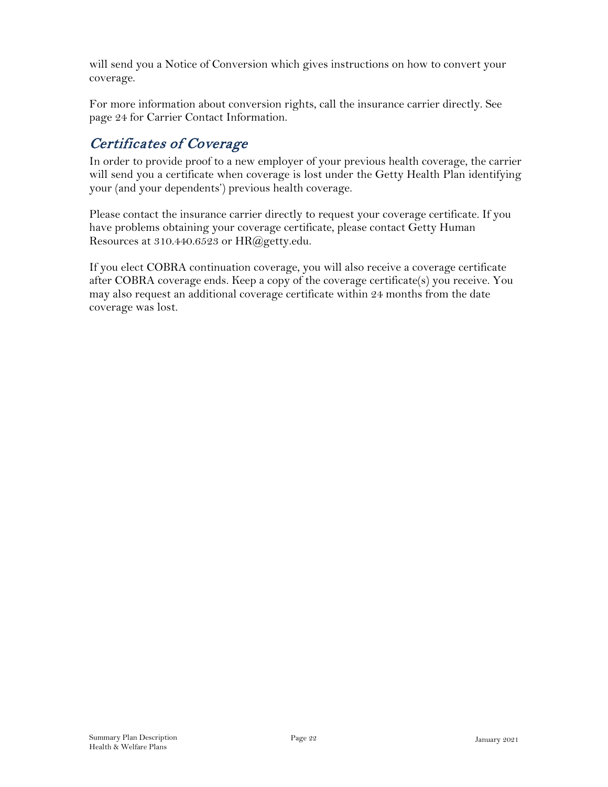will send you a Notice of Conversion which gives instructions on how to convert your coverage.

For more information about conversion rights, call the insurance carrier directly. See page 24 for Carrier Contact Information.

# <span id="page-22-0"></span>Certificates of Coverage

In order to provide proof to a new employer of your previous health coverage, the carrier will send you a certificate when coverage is lost under the Getty Health Plan identifying your (and your dependents') previous health coverage.

Please contact the insurance carrier directly to request your coverage certificate. If you have problems obtaining your coverage certificate, please contact Getty Human Resources at 310.440.6523 or [HR@getty.edu.](mailto:HR@getty.edu)

If you elect COBRA continuation coverage, you will also receive a coverage certificate after COBRA coverage ends. Keep a copy of the coverage certificate(s) you receive. You may also request an additional coverage certificate within 24 months from the date coverage was lost.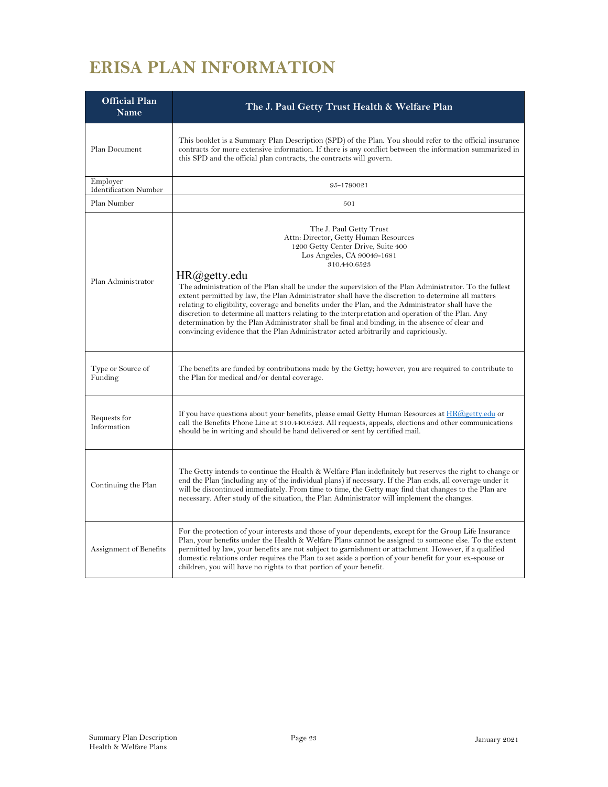# <span id="page-23-0"></span>**ERISA PLAN INFORMATION**

| <b>Official Plan</b><br><b>Name</b>      | The J. Paul Getty Trust Health & Welfare Plan                                                                                                                                                                                                                                                                                                                                                                                                                                                                                                                                                                                                                                                                                                                                               |
|------------------------------------------|---------------------------------------------------------------------------------------------------------------------------------------------------------------------------------------------------------------------------------------------------------------------------------------------------------------------------------------------------------------------------------------------------------------------------------------------------------------------------------------------------------------------------------------------------------------------------------------------------------------------------------------------------------------------------------------------------------------------------------------------------------------------------------------------|
| Plan Document                            | This booklet is a Summary Plan Description (SPD) of the Plan. You should refer to the official insurance<br>contracts for more extensive information. If there is any conflict between the information summarized in<br>this SPD and the official plan contracts, the contracts will govern.                                                                                                                                                                                                                                                                                                                                                                                                                                                                                                |
| Employer<br><b>Identification Number</b> | 95-1790021                                                                                                                                                                                                                                                                                                                                                                                                                                                                                                                                                                                                                                                                                                                                                                                  |
| Plan Number                              | 501                                                                                                                                                                                                                                                                                                                                                                                                                                                                                                                                                                                                                                                                                                                                                                                         |
| Plan Administrator                       | The J. Paul Getty Trust<br>Attn: Director, Getty Human Resources<br>1200 Getty Center Drive, Suite 400<br>Los Angeles, CA 90049-1681<br>310.440.6523<br>HR@getty.edu<br>The administration of the Plan shall be under the supervision of the Plan Administrator. To the fullest<br>extent permitted by law, the Plan Administrator shall have the discretion to determine all matters<br>relating to eligibility, coverage and benefits under the Plan, and the Administrator shall have the<br>discretion to determine all matters relating to the interpretation and operation of the Plan. Any<br>determination by the Plan Administrator shall be final and binding, in the absence of clear and<br>convincing evidence that the Plan Administrator acted arbitrarily and capriciously. |
| Type or Source of<br>Funding             | The benefits are funded by contributions made by the Getty; however, you are required to contribute to<br>the Plan for medical and/or dental coverage.                                                                                                                                                                                                                                                                                                                                                                                                                                                                                                                                                                                                                                      |
| Requests for<br>Information              | If you have questions about your benefits, please email Getty Human Resources at $HR@getty.edu$ or<br>call the Benefits Phone Line at 310.440.6523. All requests, appeals, elections and other communications<br>should be in writing and should be hand delivered or sent by certified mail.                                                                                                                                                                                                                                                                                                                                                                                                                                                                                               |
| Continuing the Plan                      | The Getty intends to continue the Health & Welfare Plan indefinitely but reserves the right to change or<br>end the Plan (including any of the individual plans) if necessary. If the Plan ends, all coverage under it<br>will be discontinued immediately. From time to time, the Getty may find that changes to the Plan are<br>necessary. After study of the situation, the Plan Administrator will implement the changes.                                                                                                                                                                                                                                                                                                                                                               |
| Assignment of Benefits                   | For the protection of your interests and those of your dependents, except for the Group Life Insurance<br>Plan, your benefits under the Health & Welfare Plans cannot be assigned to someone else. To the extent<br>permitted by law, your benefits are not subject to garnishment or attachment. However, if a qualified<br>domestic relations order requires the Plan to set aside a portion of your benefit for your ex-spouse or<br>children, you will have no rights to that portion of your benefit.                                                                                                                                                                                                                                                                                  |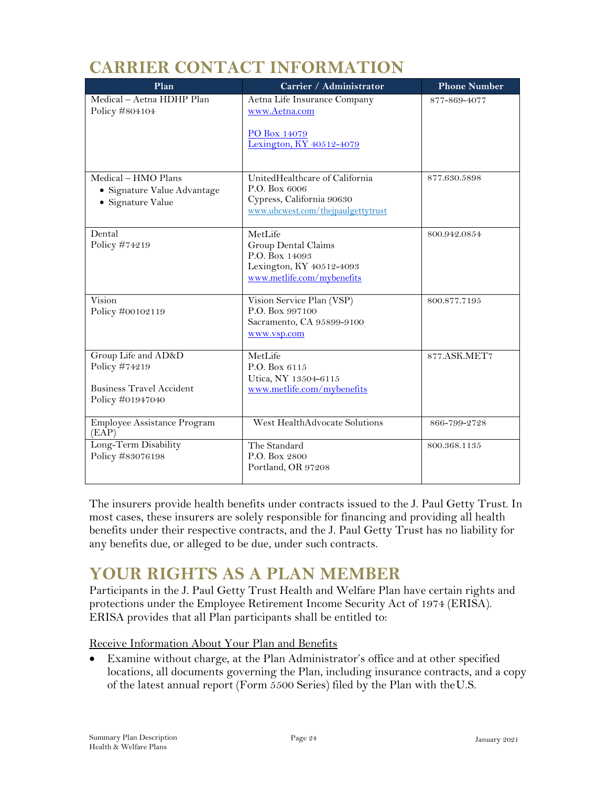# **CARRIER CONTACT INFORMATION**

<span id="page-24-0"></span>

| Plan                                                                                        | Carrier / Administrator                                                                                            | <b>Phone Number</b> |
|---------------------------------------------------------------------------------------------|--------------------------------------------------------------------------------------------------------------------|---------------------|
| Medical - Aetna HDHP Plan<br>Policy #804104                                                 | Aetna Life Insurance Company<br>www.Aetna.com<br>PO Box 14079<br>Lexington, KY 40512-4079                          | 877-869-4077        |
| Medical – HMO Plans<br>· Signature Value Advantage<br>• Signature Value                     | UnitedHealthcare of California<br>P.O. Box 6006<br>Cypress, California 90630<br>www.uhcwest.com/thejpaulgettytrust | 877.630.5898        |
| Dental<br>Policy #74219                                                                     | MetLife<br>Group Dental Claims<br>P.O. Box 14093<br>Lexington, KY 40512-4093<br>www.metlife.com/mybenefits         | 800.942.0854        |
| Vision<br>Policy #00102119                                                                  | Vision Service Plan (VSP)<br>P.O. Box 997100<br>Sacramento, CA 95899-9100<br>www.vsp.com                           | 800.877.7195        |
| Group Life and AD&D<br>Policy #74219<br><b>Business Travel Accident</b><br>Policy #01947040 | MetLife<br>P.O. Box 6115<br>Utica, NY 13504-6115<br>www.metlife.com/mybenefits                                     | 877.ASK.MET7        |
| Employee Assistance Program<br>(EAP)                                                        | West HealthAdvocate Solutions                                                                                      | 866-799-2728        |
| Long-Term Disability<br>Policy #83076198                                                    | The Standard<br>P.O. Box 2800<br>Portland, OR 97208                                                                | 800.368.1135        |

The insurers provide health benefits under contracts issued to the J. Paul Getty Trust. In most cases, these insurers are solely responsible for financing and providing all health benefits under their respective contracts, and the J. Paul Getty Trust has no liability for any benefits due, or alleged to be due, under such contracts.

# <span id="page-24-1"></span>**YOUR RIGHTS AS A PLAN MEMBER**

Participants in the J. Paul Getty Trust Health and Welfare Plan have certain rights and protections under the Employee Retirement Income Security Act of 1974 (ERISA). ERISA provides that all Plan participants shall be entitled to:

Receive Information About Your Plan and Benefits

• Examine without charge, at the Plan Administrator's office and at other specified locations, all documents governing the Plan, including insurance contracts, and a copy of the latest annual report (Form 5500 Series) filed by the Plan with theU.S.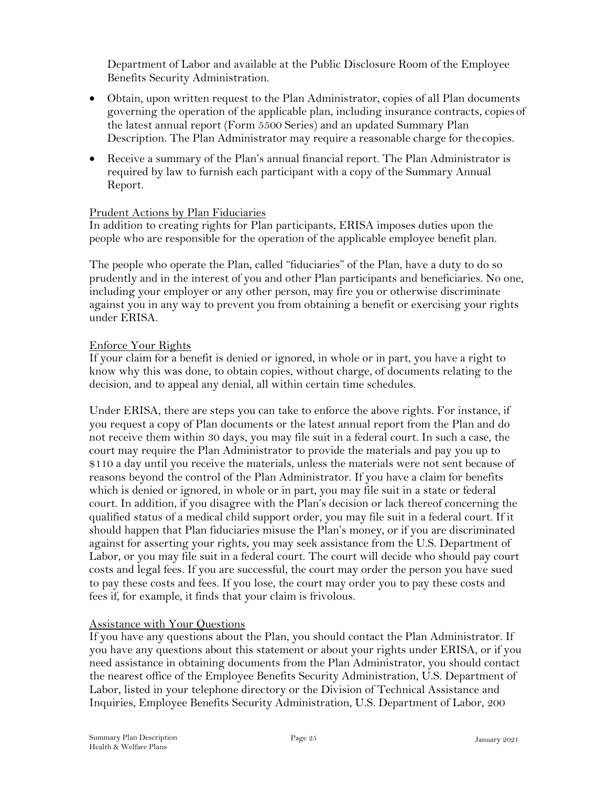Department of Labor and available at the Public Disclosure Room of the Employee Benefits Security Administration.

- Obtain, upon written request to the Plan Administrator, copies of all Plan documents governing the operation of the applicable plan, including insurance contracts, copies of the latest annual report (Form 5500 Series) and an updated Summary Plan Description. The Plan Administrator may require a reasonable charge for thecopies.
- Receive a summary of the Plan's annual financial report. The Plan Administrator is required by law to furnish each participant with a copy of the Summary Annual Report.

#### Prudent Actions by Plan Fiduciaries

In addition to creating rights for Plan participants, ERISA imposes duties upon the people who are responsible for the operation of the applicable employee benefit plan.

The people who operate the Plan, called "fiduciaries" of the Plan, have a duty to do so prudently and in the interest of you and other Plan participants and beneficiaries. No one, including your employer or any other person, may fire you or otherwise discriminate against you in any way to prevent you from obtaining a benefit or exercising your rights under ERISA.

#### Enforce Your Rights

If your claim for a benefit is denied or ignored, in whole or in part, you have a right to know why this was done, to obtain copies, without charge, of documents relating to the decision, and to appeal any denial, all within certain time schedules.

Under ERISA, there are steps you can take to enforce the above rights. For instance, if you request a copy of Plan documents or the latest annual report from the Plan and do not receive them within 30 days, you may file suit in a federal court. In such a case, the court may require the Plan Administrator to provide the materials and pay you up to \$110 a day until you receive the materials, unless the materials were not sent because of reasons beyond the control of the Plan Administrator. If you have a claim for benefits which is denied or ignored, in whole or in part, you may file suit in a state or federal court. In addition, if you disagree with the Plan's decision or lack thereof concerning the qualified status of a medical child support order, you may file suit in a federal court. If it should happen that Plan fiduciaries misuse the Plan's money, or if you are discriminated against for asserting your rights, you may seek assistance from the U.S. Department of Labor, or you may file suit in a federal court. The court will decide who should pay court costs and legal fees. If you are successful, the court may order the person you have sued to pay these costs and fees. If you lose, the court may order you to pay these costs and fees if, for example, it finds that your claim is frivolous.

#### Assistance with Your Questions

If you have any questions about the Plan, you should contact the Plan Administrator. If you have any questions about this statement or about your rights under ERISA, or if you need assistance in obtaining documents from the Plan Administrator, you should contact the nearest office of the Employee Benefits Security Administration, U.S. Department of Labor, listed in your telephone directory or the Division of Technical Assistance and Inquiries, Employee Benefits Security Administration, U.S. Department of Labor, 200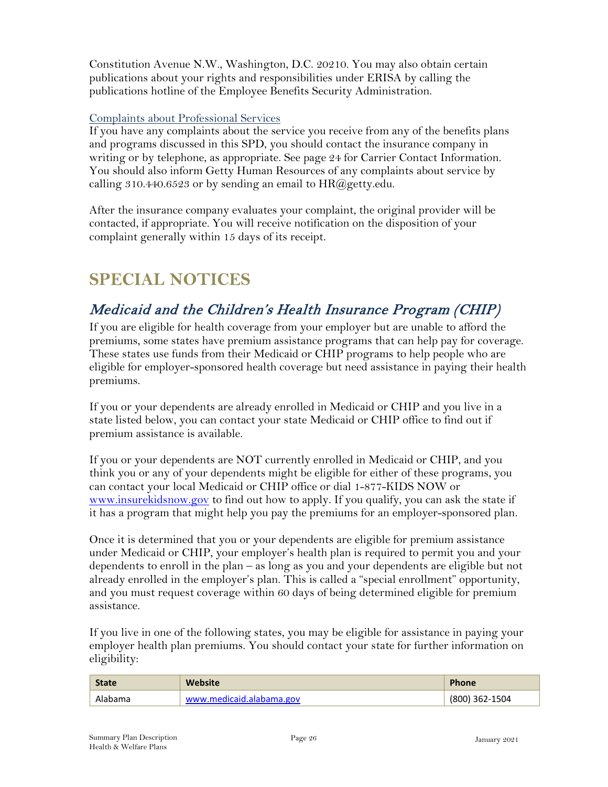Constitution Avenue N.W., Washington, D.C. 20210. You may also obtain certain publications about your rights and responsibilities under ERISA by calling the publications hotline of the Employee Benefits Security Administration.

#### Complaints about Professional Services

If you have any complaints about the service you receive from any of the benefits plans and programs discussed in this SPD, you should contact the insurance company in writing or by telephone, as appropriate. See page 24 for Carrier Contact Information. You should also inform Getty Human Resources of any complaints about service by calling 310.440.6523 or by sending an email to  $HR@g$ etty.edu.

After the insurance company evaluates your complaint, the original provider will be contacted, if appropriate. You will receive notification on the disposition of your complaint generally within 15 days of its receipt.

# <span id="page-26-0"></span>**SPECIAL NOTICES**

# <span id="page-26-1"></span>Medicaid and the Children's Health Insurance Program (CHIP)

If you are eligible for health coverage from your employer but are unable to afford the premiums, some states have premium assistance programs that can help pay for coverage. These states use funds from their Medicaid or CHIP programs to help people who are eligible for employer-sponsored health coverage but need assistance in paying their health premiums.

If you or your dependents are already enrolled in Medicaid or CHIP and you live in a state listed below, you can contact your state Medicaid or CHIP office to find out if premium assistance is available.

If you or your dependents are NOT currently enrolled in Medicaid or CHIP, and you think you or any of your dependents might be eligible for either of these programs, you can contact your local Medicaid or CHIP office or dial 1-877-KIDS NOW or [www.insurekidsnow.gov](http://www.insurekidsnow.gov/) to find out how to apply. If you qualify, you can ask the state if it has a program that might help you pay the premiums for an employer-sponsored plan.

Once it is determined that you or your dependents are eligible for premium assistance under Medicaid or CHIP, your employer's health plan is required to permit you and your dependents to enroll in the plan – as long as you and your dependents are eligible but not already enrolled in the employer's plan. This is called a "special enrollment" opportunity, and you must request coverage within 60 days of being determined eligible for premium assistance.

If you live in one of the following states, you may be eligible for assistance in paying your employer health plan premiums. You should contact your state for further information on eligibility:

| <b>State</b> | <b>Website</b>           | <b>Phone</b>   |
|--------------|--------------------------|----------------|
| Alabama      | www.medicaid.alabama.gov | (800) 362-1504 |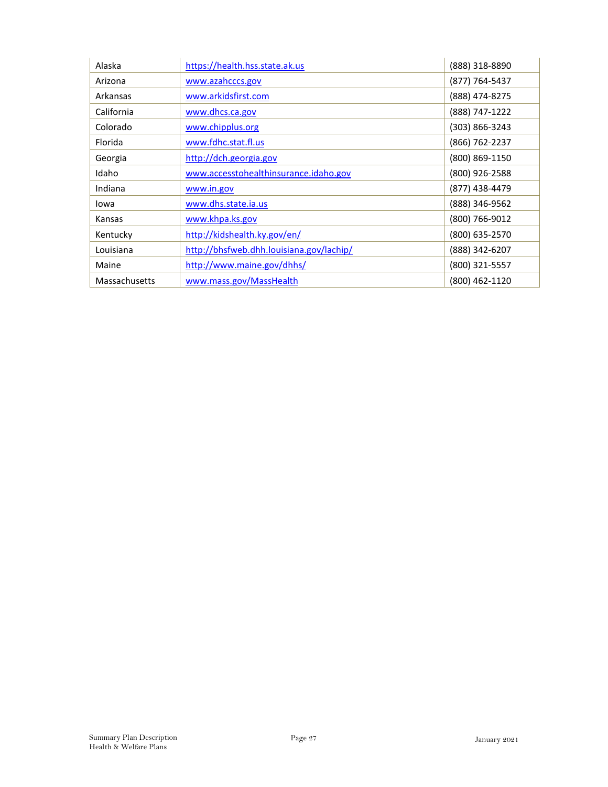| Alaska        | https://health.hss.state.ak.us           | (888) 318-8890     |
|---------------|------------------------------------------|--------------------|
| Arizona       | www.azahcccs.gov                         | (877) 764-5437     |
| Arkansas      | www.arkidsfirst.com                      | (888) 474-8275     |
| California    | www.dhcs.ca.gov                          | (888) 747-1222     |
| Colorado      | www.chipplus.org                         | $(303) 866 - 3243$ |
| Florida       | www.fdhc.stat.fl.us                      | (866) 762-2237     |
| Georgia       | http://dch.georgia.gov                   | (800) 869-1150     |
| Idaho         | www.accesstohealthinsurance.idaho.gov    | (800) 926-2588     |
| Indiana       | www.in.gov                               | (877) 438-4479     |
| Iowa          | www.dhs.state.ia.us                      | (888) 346-9562     |
| Kansas        | www.khpa.ks.gov                          | (800) 766-9012     |
| Kentucky      | http://kidshealth.ky.gov/en/             | (800) 635-2570     |
| Louisiana     | http://bhsfweb.dhh.louisiana.gov/lachip/ | (888) 342-6207     |
| Maine         | http://www.maine.gov/dhhs/               | (800) 321-5557     |
| Massachusetts | www.mass.gov/MassHealth                  | (800) 462-1120     |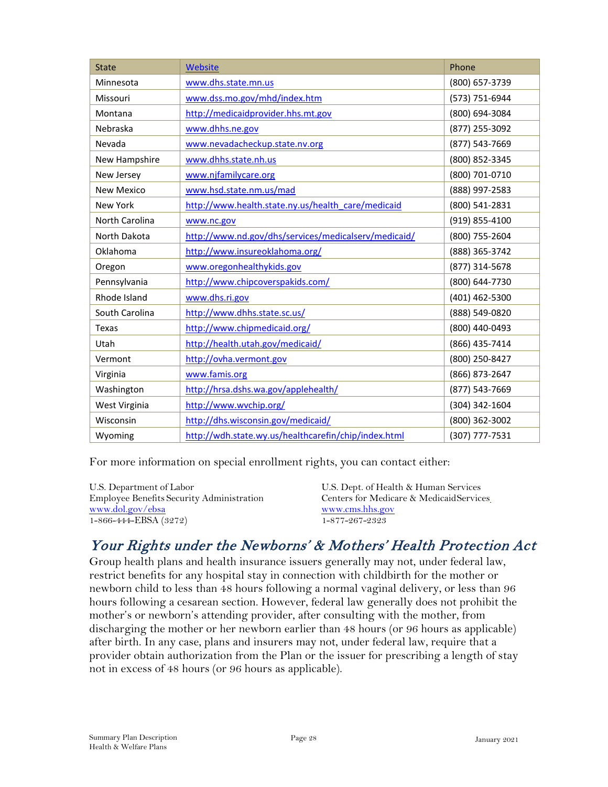| <b>State</b>      | <b>Website</b>                                       | Phone          |
|-------------------|------------------------------------------------------|----------------|
| Minnesota         | www.dhs.state.mn.us                                  | (800) 657-3739 |
| Missouri          | www.dss.mo.gov/mhd/index.htm                         | (573) 751-6944 |
| Montana           | http://medicaidprovider.hhs.mt.gov                   | (800) 694-3084 |
| Nebraska          | www.dhhs.ne.gov                                      | (877) 255-3092 |
| Nevada            | www.nevadacheckup.state.nv.org                       | (877) 543-7669 |
| New Hampshire     | www.dhhs.state.nh.us                                 | (800) 852-3345 |
| New Jersey        | www.njfamilycare.org                                 | (800) 701-0710 |
| <b>New Mexico</b> | www.hsd.state.nm.us/mad                              | (888) 997-2583 |
| <b>New York</b>   | http://www.health.state.ny.us/health_care/medicaid   | (800) 541-2831 |
| North Carolina    | www.nc.gov                                           | (919) 855-4100 |
| North Dakota      | http://www.nd.gov/dhs/services/medicalserv/medicaid/ | (800) 755-2604 |
| Oklahoma          | http://www.insureoklahoma.org/                       | (888) 365-3742 |
| Oregon            | www.oregonhealthykids.gov                            | (877) 314-5678 |
| Pennsylvania      | http://www.chipcoverspakids.com/                     | (800) 644-7730 |
| Rhode Island      | www.dhs.ri.gov                                       | (401) 462-5300 |
| South Carolina    | http://www.dhhs.state.sc.us/                         | (888) 549-0820 |
| Texas             | http://www.chipmedicaid.org/                         | (800) 440-0493 |
| Utah              | http://health.utah.gov/medicaid/                     | (866) 435-7414 |
| Vermont           | http://ovha.vermont.gov                              | (800) 250-8427 |
| Virginia          | www.famis.org                                        | (866) 873-2647 |
| Washington        | http://hrsa.dshs.wa.gov/applehealth/                 | (877) 543-7669 |
| West Virginia     | http://www.wvchip.org/                               | (304) 342-1604 |
| Wisconsin         | http://dhs.wisconsin.gov/medicaid/                   | (800) 362-3002 |
| Wyoming           | http://wdh.state.wy.us/healthcarefin/chip/index.html | (307) 777-7531 |

For more information on special enrollment rights, you can contact either:

| U.S. Dept. of Health & Human Services   |
|-----------------------------------------|
| Centers for Medicare & MedicaidServices |
| www.cms.hhs.gov                         |
| 1-877-267-2323                          |
|                                         |

# <span id="page-28-0"></span>Your Rights under the Newborns' & Mothers' Health Protection Act

Group health plans and health insurance issuers generally may not, under federal law, restrict benefits for any hospital stay in connection with childbirth for the mother or newborn child to less than 48 hours following a normal vaginal delivery, or less than 96 hours following a cesarean section. However, federal law generally does not prohibit the mother's or newborn's attending provider, after consulting with the mother, from discharging the mother or her newborn earlier than 48 hours (or 96 hours as applicable) after birth. In any case, plans and insurers may not, under federal law, require that a provider obtain authorization from the Plan or the issuer for prescribing a length of stay not in excess of 48 hours (or 96 hours as applicable).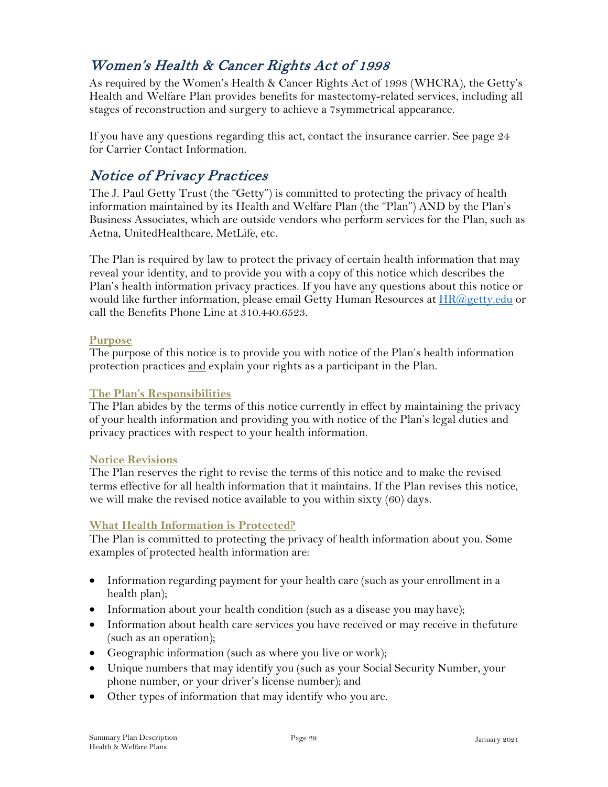# <span id="page-29-0"></span>Women's Health & Cancer Rights Act of 1998

As required by the Women's Health & Cancer Rights Act of 1998 (WHCRA), the Getty's Health and Welfare Plan provides benefits for mastectomy-related services, including all stages of reconstruction and surgery to achieve a 7symmetrical appearance.

If you have any questions regarding this act, contact the insurance carrier. See page 24 for Carrier Contact Information.

### <span id="page-29-1"></span>Notice of Privacy Practices

The J. Paul Getty Trust (the "Getty") is committed to protecting the privacy of health information maintained by its Health and Welfare Plan (the "Plan") AND by the Plan's Business Associates, which are outside vendors who perform services for the Plan, such as Aetna, UnitedHealthcare, MetLife, etc.

The Plan is required by law to protect the privacy of certain health information that may reveal your identity, and to provide you with a copy of this notice which describes the Plan's health information privacy practices. If you have any questions about this notice or would like further information, please email Getty Human Resources at **HR**@getty.edu or call the Benefits Phone Line at 310.440.6523.

#### **Purpose**

The purpose of this notice is to provide you with notice of the Plan's health information protection practices and explain your rights as a participant in the Plan.

#### **The Plan's Responsibilities**

The Plan abides by the terms of this notice currently in effect by maintaining the privacy of your health information and providing you with notice of the Plan's legal duties and privacy practices with respect to your health information.

#### **Notice Revisions**

The Plan reserves the right to revise the terms of this notice and to make the revised terms effective for all health information that it maintains. If the Plan revises this notice, we will make the revised notice available to you within sixty (60) days.

#### **What Health Information is Protected?**

The Plan is committed to protecting the privacy of health information about you. Some examples of protected health information are:

- Information regarding payment for your health care (such as your enrollment in a health plan);
- Information about your health condition (such as a disease you may have);
- Information about health care services you have received or may receive in thefuture (such as an operation);
- Geographic information (such as where you live or work);
- Unique numbers that may identify you (such as your Social Security Number, your phone number, or your driver's license number); and
- Other types of information that may identify who you are.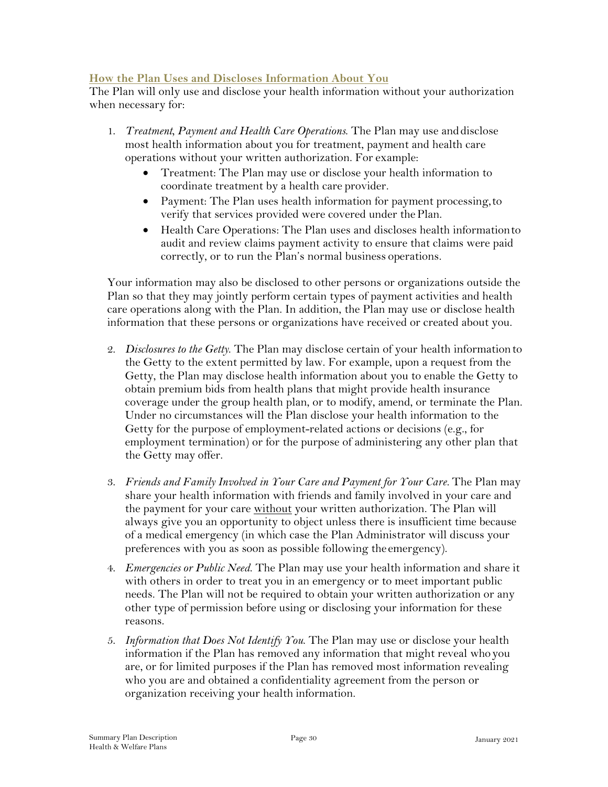#### **How the Plan Uses and Discloses Information About You**

The Plan will only use and disclose your health information without your authorization when necessary for:

- 1. *Treatment, Payment and Health Care Operations*. The Plan may use anddisclose most health information about you for treatment, payment and health care operations without your written authorization. For example:
	- Treatment: The Plan may use or disclose your health information to coordinate treatment by a health care provider.
	- Payment: The Plan uses health information for payment processing, to verify that services provided were covered under thePlan.
	- Health Care Operations: The Plan uses and discloses health informationto audit and review claims payment activity to ensure that claims were paid correctly, or to run the Plan's normal business operations.

Your information may also be disclosed to other persons or organizations outside the Plan so that they may jointly perform certain types of payment activities and health care operations along with the Plan. In addition, the Plan may use or disclose health information that these persons or organizations have received or created about you.

- 2. *Disclosures to the Getty*. The Plan may disclose certain of your health informationto the Getty to the extent permitted by law. For example, upon a request from the Getty, the Plan may disclose health information about you to enable the Getty to obtain premium bids from health plans that might provide health insurance coverage under the group health plan, or to modify, amend, or terminate the Plan. Under no circumstances will the Plan disclose your health information to the Getty for the purpose of employment-related actions or decisions (e.g., for employment termination) or for the purpose of administering any other plan that the Getty may offer.
- 3. *Friends and Family Involved in Your Care and Payment for Your Care.* The Plan may share your health information with friends and family involved in your care and the payment for your care without your written authorization. The Plan will always give you an opportunity to object unless there is insufficient time because of a medical emergency (in which case the Plan Administrator will discuss your preferences with you as soon as possible following the emergency).
- 4. *Emergencies or Public Need*. The Plan may use your health information and share it with others in order to treat you in an emergency or to meet important public needs. The Plan will not be required to obtain your written authorization or any other type of permission before using or disclosing your information for these reasons.
- 5. *Information that Does Not Identify You*. The Plan may use or disclose your health information if the Plan has removed any information that might reveal whoyou are, or for limited purposes if the Plan has removed most information revealing who you are and obtained a confidentiality agreement from the person or organization receiving your health information.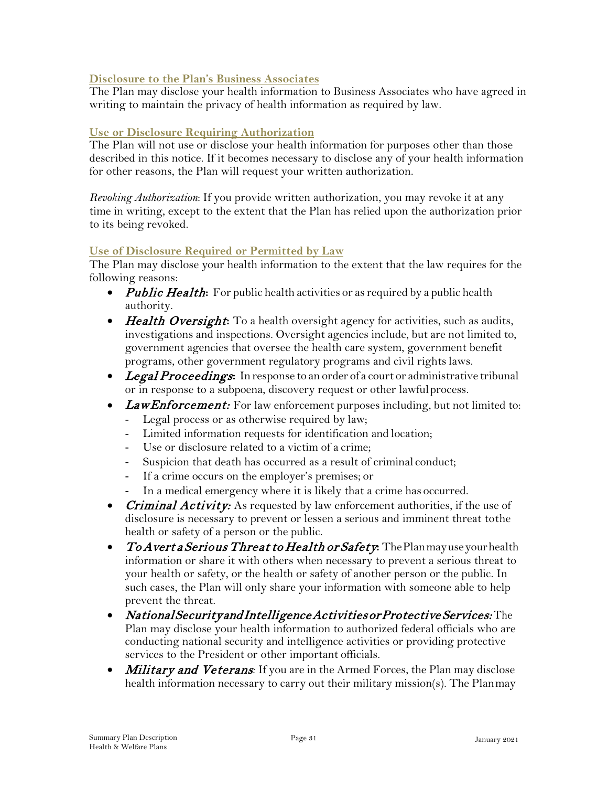#### **Disclosure to the Plan's Business Associates**

The Plan may disclose your health information to Business Associates who have agreed in writing to maintain the privacy of health information as required by law.

#### **Use or Disclosure Requiring Authorization**

The Plan will not use or disclose your health information for purposes other than those described in this notice. If it becomes necessary to disclose any of your health information for other reasons, the Plan will request your written authorization.

*Revoking Authorization*: If you provide written authorization, you may revoke it at any time in writing, except to the extent that the Plan has relied upon the authorization prior to its being revoked.

#### **Use of Disclosure Required or Permitted by Law**

The Plan may disclose your health information to the extent that the law requires for the following reasons:

- Public Health: For public health activities or as required by a public health authority.
- **Health Oversight:** To a health oversight agency for activities, such as audits, investigations and inspections. Oversight agencies include, but are not limited to, government agencies that oversee the health care system, government benefit programs, other government regulatory programs and civil rightslaws.
- Legal Proceedings**:** In response to an order of a court or administrative tribunal or in response to a subpoena, discovery request or other lawfulprocess.
- Law Enforcement: For law enforcement purposes including, but not limited to:
	- Legal process or as otherwise required by law;
	- Limited information requests for identification and location;
	- Use or disclosure related to a victim of a crime;
	- Suspicion that death has occurred as a result of criminal conduct;
	- If a crime occurs on the employer's premises; or
	- In a medical emergency where it is likely that a crime has occurred.
- *Criminal Activity:* As requested by law enforcement authorities, if the use of disclosure is necessary to prevent or lessen a serious and imminent threat tothe health or safety of a person or the public.
- To Avert a Serious Threat to Health or Safety**:** ThePlanmayuseyourhealth information or share it with others when necessary to prevent a serious threat to your health or safety, or the health or safety of another person or the public. In such cases, the Plan will only share your information with someone able to help prevent the threat.
- National Security and Intelligence Activities or Protective Services: The Plan may disclose your health information to authorized federal officials who are conducting national security and intelligence activities or providing protective services to the President or other important officials.
- *Military and Veterans:* If you are in the Armed Forces, the Plan may disclose health information necessary to carry out their military mission(s). The Planmay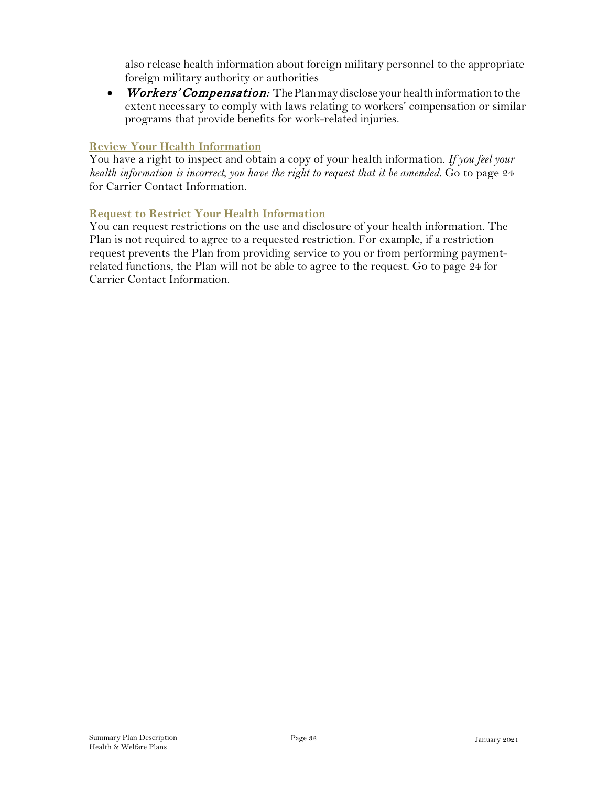also release health information about foreign military personnel to the appropriate foreign military authority or authorities

• Workers' Compensation: The Plan may disclose your health information to the extent necessary to comply with laws relating to workers' compensation or similar programs that provide benefits for work-related injuries.

#### **Review Your Health Information**

You have a right to inspect and obtain a copy of your health information. *If you feel your health information is incorrect, you have the right to request that it be amended.* Go to page 24 for Carrier Contact Information.

#### **Request to Restrict Your Health Information**

You can request restrictions on the use and disclosure of your health information. The Plan is not required to agree to a requested restriction. For example, if a restriction request prevents the Plan from providing service to you or from performing paymentrelated functions, the Plan will not be able to agree to the request. Go to page 24 for Carrier Contact Information.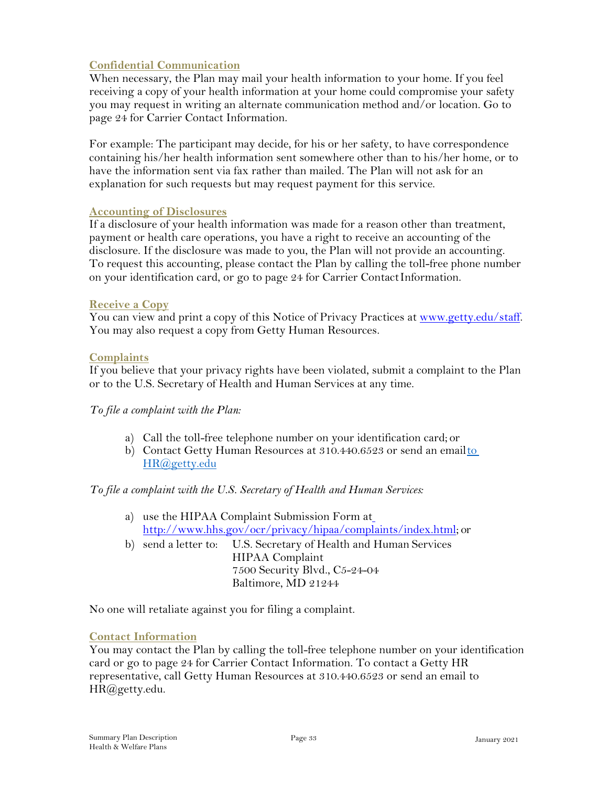#### **Confidential Communication**

When necessary, the Plan may mail your health information to your home. If you feel receiving a copy of your health information at your home could compromise your safety you may request in writing an alternate communication method and/or location. Go to page 24 for Carrier Contact Information.

For example: The participant may decide, for his or her safety, to have correspondence containing his/her health information sent somewhere other than to his/her home, or to have the information sent via fax rather than mailed. The Plan will not ask for an explanation for such requests but may request payment for this service.

#### **Accounting of Disclosures**

If a disclosure of your health information was made for a reason other than treatment, payment or health care operations, you have a right to receive an accounting of the disclosure. If the disclosure was made to you, the Plan will not provide an accounting. To request this accounting, please contact the Plan by calling the toll-free phone number on your identification card, or go to page 24 for Carrier ContactInformation.

#### **Receive a Copy**

You can view and print a copy of this Notice of Privacy Practices at [www.getty.edu/staff.](http://www.getty.edu/staff) You may also request a copy from Getty Human Resources.

#### **Complaints**

If you believe that your privacy rights have been violated, submit a complaint to the Plan or to the U.S. Secretary of Health and Human Services at any time.

#### *To file a complaint with the Plan:*

- a) Call the toll-free telephone number on your identification card; or
- b) Contact Getty Human Resources at 310.440.6523 or send an emailto [HR@getty.edu](mailto:HR@getty.edu)

#### *To file a complaint with the U.S. Secretary of Health and Human Services:*

- a) use the HIPAA Complaint Submission Form at [http://www.hhs.gov/ocr/privacy/hipaa/complaints/index.html;](http://www.hhs.gov/ocr/privacy/hipaa/complaints/index.html%3B) or
- b) send a letter to: U.S. Secretary of Health and Human Services HIPAA Complaint 7500 Security Blvd., C5-24-04 Baltimore, MD 21244

No one will retaliate against you for filing a complaint.

#### **Contact Information**

You may contact the Plan by calling the toll-free telephone number on your identification card or go to page 24 for Carrier Contact Information. To contact a Getty HR representative, call Getty Human Resources at 310.440.6523 or send an email to [HR@getty.edu.](mailto:HR@getty.edu)